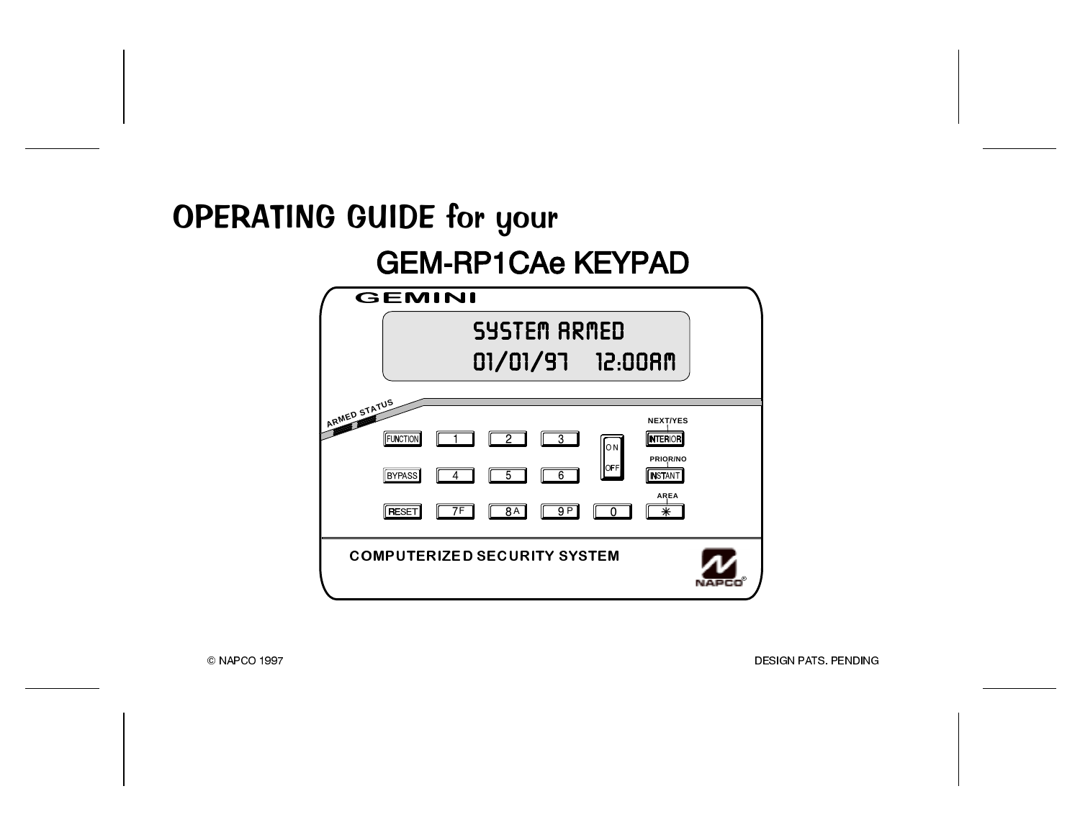# OPERATING GUIDE for your **EXAMPLE CONSIDER SERVICA CONTRACT CONTRACT CONTRACT CONTRACT CONTRACT CONTRACT CONTRACT CONTRACT CONTRACT CONTR** GEMINI



© NAPCO 1997

**DESIGN PATS PENDING**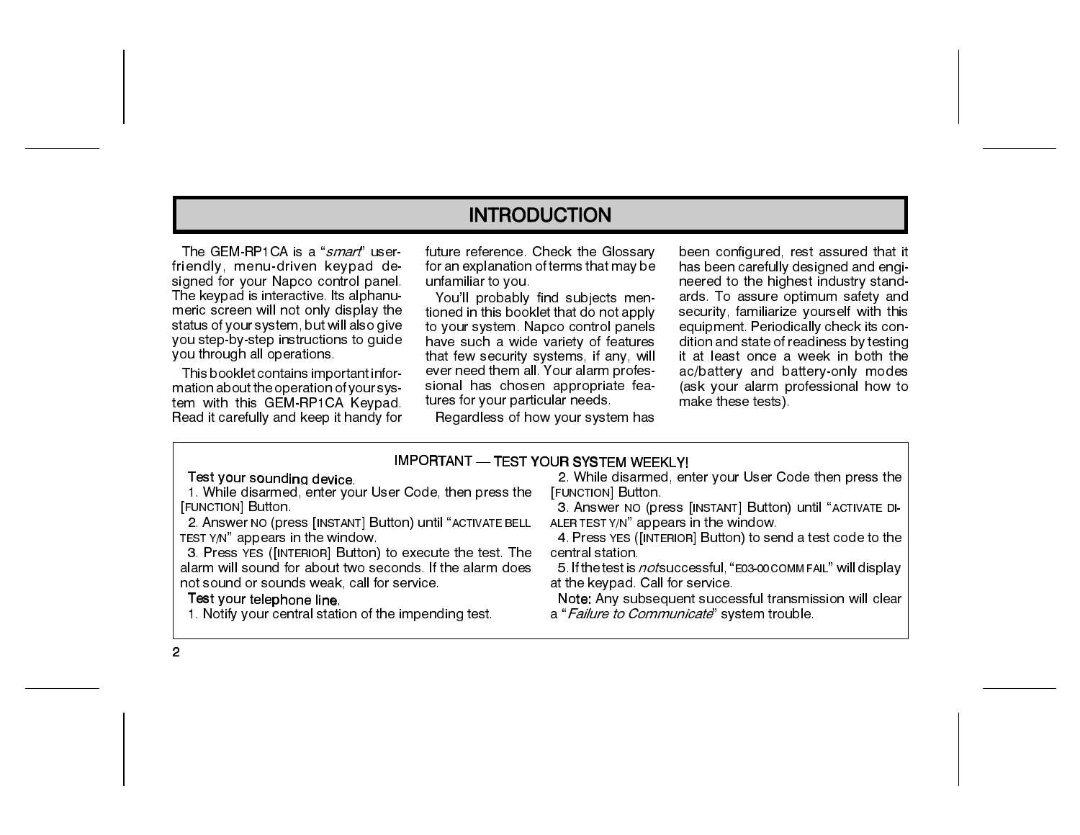### **INTRODUCTION**

The GEM-RP1CA is a "*smart*" userfriendly, menu-driven keypad designed for your Napco control panel. The keypad is interactive. Its alphanumeric screen will not only display the status of your system, but will also give you step-by-step instructions to quide you through all operations.

This booklet contains important information about the operation of your system with this GEM-RP1CA Keypad. Read it carefully and keep it handy for future reference. Check the Glossary for an explanation of terms that may be unfamiliar to you.

You'll probably find subjects mentioned in this booklet that do not apply to your system. Napco control panels have such a wide variety of features that few security systems, if any, will ever need them all. Your alarm professional has chosen appropriate features for your particular needs.

Regardless of how your system has

been configured, rest assured that it has been carefully designed and engineered to the highest industry standards. To assure optimum safety and security, familiarize yourself with this equipment. Periodically check its condition and state of readiness by testing it at least once a week in both the ac/battery and battery-only modes (ask your alarm professional how to make these tests).

#### IMPORTANT - TEST YOUR SYSTEM WEEKLY!

#### Test your sounding device.

1. While disarmed, enter your User Code, then press the [FUNCTION] Button.

2. Answer NO (press [INSTANT] Button) until "ACTIVATE BELL TEST Y/N" appears in the window.

3. Press YES ([INTERIOR] Button) to execute the test. The alarm will sound for about two seconds. If the alarm does not sound or sounds weak, call for service.

#### Test your telephone line.

1. Notify your central station of the impending test.

2. While disarmed, enter your User Code then press the [FUNCTION] Button.

3. Answer NO (press [INSTANT] Button) until "ACTIVATE DI-ALER TEST Y/N" appears in the window.

4. Press YES ([INTERIOR] Button) to send a test code to the central station

5. If the test is *not* successful, "E03-00 COMMFAIL" will display at the keypad. Call for service.

Note: Any subsequent successful transmission will clear a "Failure to Communicate" system trouble.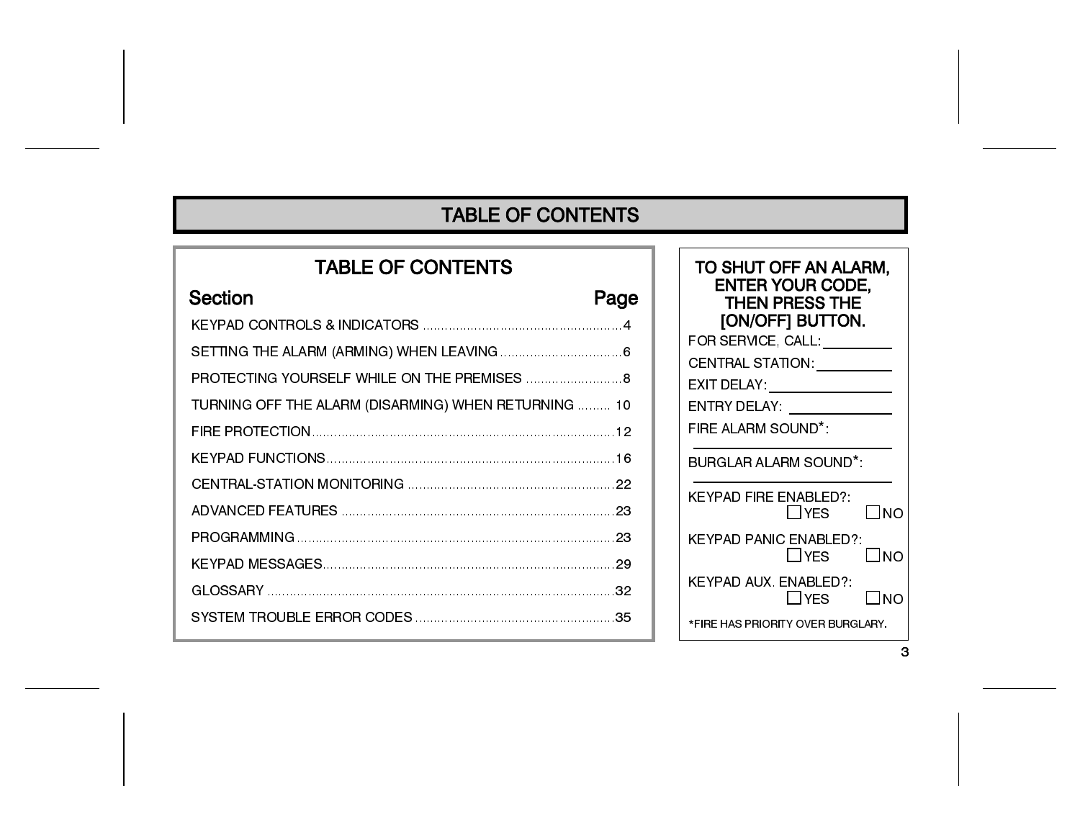## **TABLE OF CONTENTS**

# **TABLE OF CONTENTS Section** Page PROTECTING YOURSELF WHILE ON THE PREMISES ........................... 8 TURNING OFF THE ALARM (DISARMING) WHEN RETURNING ......... 10

| TO SHUT OFF AN ALARM,<br><b>ENTER YOUR CODE,</b><br><b>THEN PRESS THE</b><br>[ON/OFF] BUTTON.<br>FOR SERVICE, CALL: _ <b>______</b> __ |
|----------------------------------------------------------------------------------------------------------------------------------------|
| CENTRAL STATION: _________                                                                                                             |
| EXIT DELAY: ________________                                                                                                           |
| ENTRY DELAY: ______________                                                                                                            |
| FIRE ALARM SOUND*.                                                                                                                     |
| <b>BURGLAR ALARM SOUND*</b>                                                                                                            |
| KEYPAD FIRE ENABLED?:<br>ΠYES<br>ΓINO                                                                                                  |
| <b>KEYPAD PANIC ENABLED?:</b><br>□YES<br>L INO                                                                                         |
| KEYPAD AUX, ENABLED?:<br>$\Box$ YES<br>l Ino                                                                                           |
| *FIRE HAS PRIORITY OVER BURGI ARY                                                                                                      |

3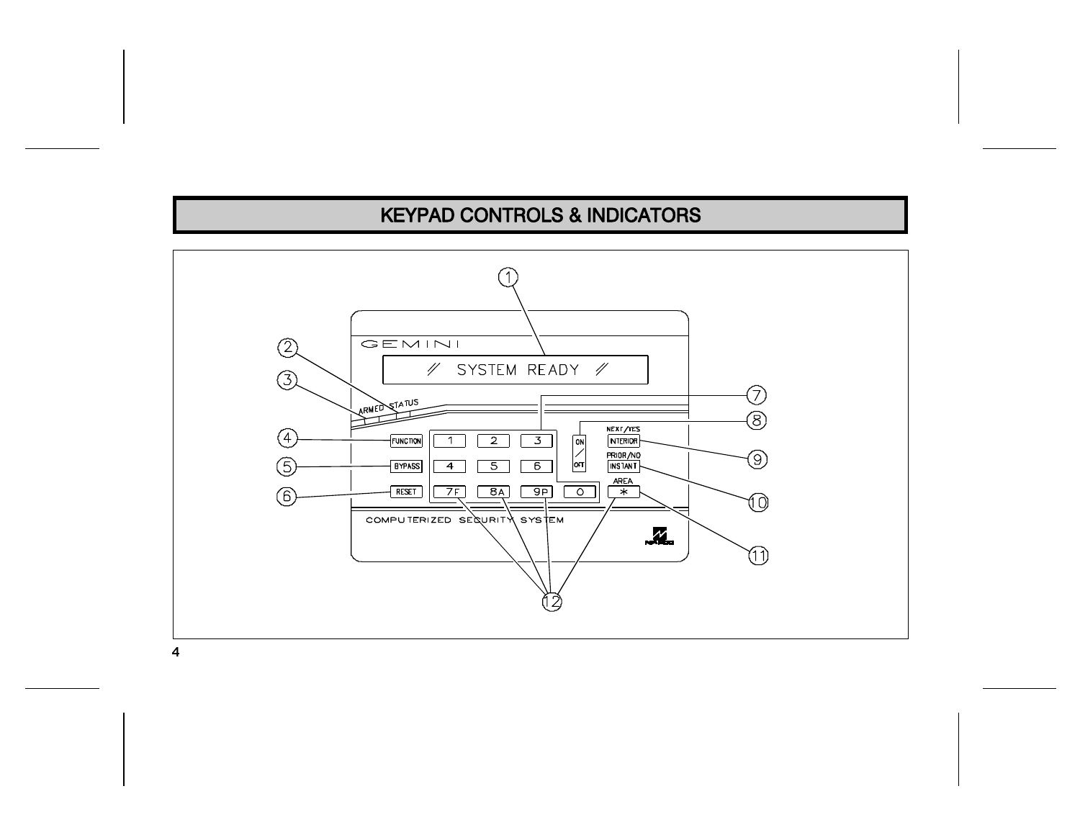# **KEYPAD CONTROLS & INDICATORS**



 $\overline{4}$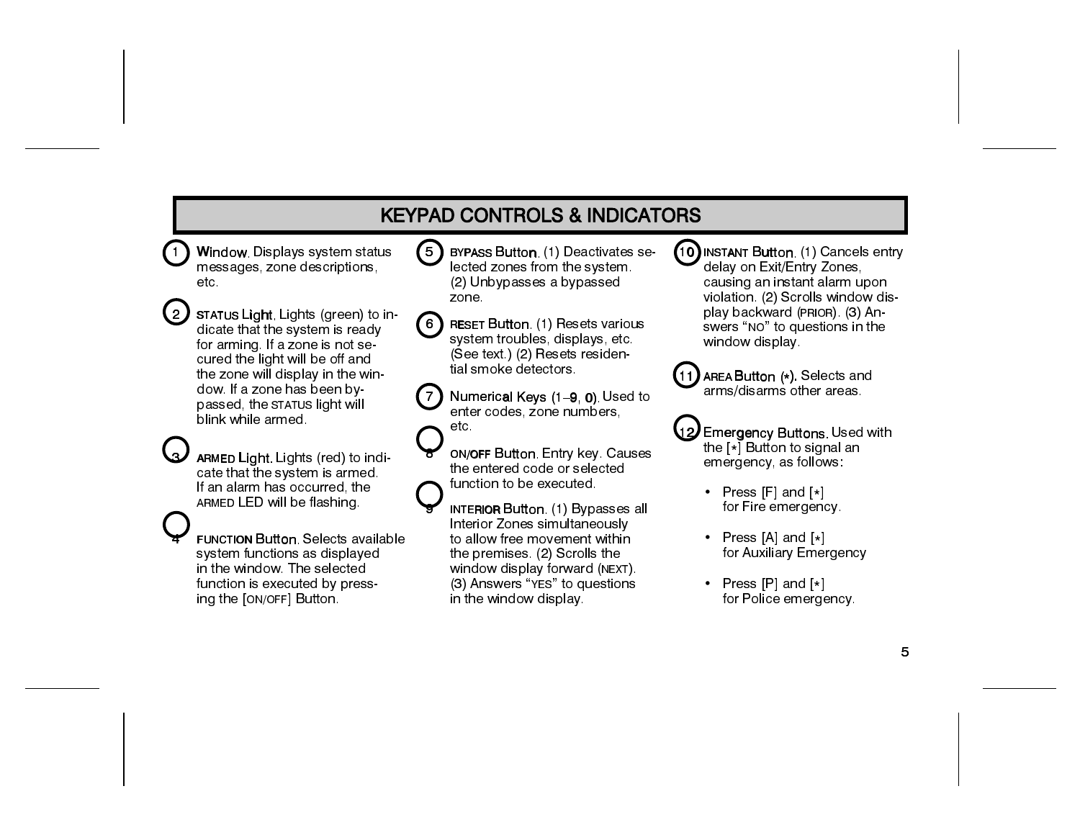# **KEYPAD CONTROLS & INDICATORS**

- Window, Displays system status messages, zone descriptions, etc.
- $\{2\}$  status Light, Lights (green) to indicate that the system is ready for arming. If a zone is not secured the light will be off and the zone will display in the window. If a zone has been by passed, the STATUS light will blink while armed
- ARMED Light, Lights (red) to indicate that the system is armed. If an alarm has occurred, the ARMED LED will be flashing.
- **FUNCTION Button, Selects available** system functions as displayed in the window. The selected function is executed by pressing the [ON/OFF] Button.
- $(5)$ **BYPASS Button. (1) Deactivates se**lected zones from the system. (2) Unbypasses a bypassed zone.
- **RESET Button.** (1) Resets various 【 6 】 system troubles, displays, etc. (See text.) (2) Resets residential smoke detectors.
- $\left(7\right)$ Numerical Keys (1-9, 0) Used to enter codes, zone numbers, etc.
	- **ON/OFF Button, Entry key, Causes** the entered code or selected function to be executed.
	- **INTERIOR Button. (1) Bypasses all** Interior Zones simultaneously to allow free movement within the premises. (2) Scrolls the window display forward (NEXT). (3) Answers "YES" to questions in the window display.
- (10) INSTANT Button. (1) Cancels entry delay on Exit/Entry Zones. causing an instant alarm upon violation. (2) Scrolls window display backward (PRIOR) (3) Answers "NO" to questions in the window display.
- $(11)$  AREA Button  $(*)$  Selects and arms/disarms other areas
- 12 Emergency Buttons, Used with the  $\lfloor \star \rceil$  Button to signal an emergency, as follows:
	- Press  $[F]$  and  $[*]$ for Fire emergency.
	- Press [A] and  $[*]$ for Auxiliary Emergency
	- Press  $[P]$  and  $[*]$ for Police emergency.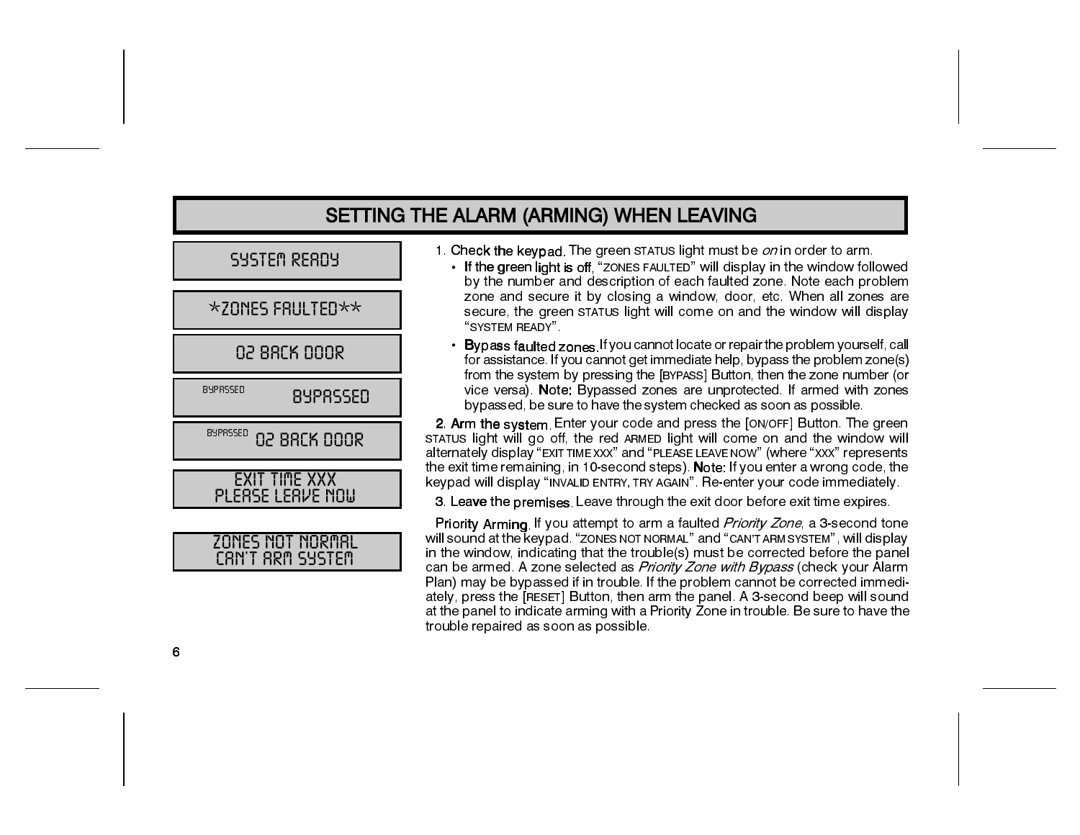### SETTING THE ALARM (ARMING) WHEN LEAVING

| SYSTEM READY |  |  |  |  |
|--------------|--|--|--|--|
|--------------|--|--|--|--|

**02 88CK 000R** 

8YPRSSED **BYPRSSED** 

8YPRSSED **02 BRCK DOOR** 

**EXIT TIME XXX** PLEASE LEAVE NOW



- 1. Check the keypad. The green STATUS light must be on in order to arm.
	- If the green light is off "ZONES FAULTED" will display in the window followed by the number and description of each faulted zone. Note each problem zone and secure it by closing a window, door, etc. When all zones are secure, the green STATUS light will come on and the window will display "SYSTEM READY".
	- Bypass faulted zones. If you cannot locate or repair the problem yourself, call for assistance. If you cannot get immediate help, bypass the problem zone(s) from the system by pressing the [BYPASS] Button, then the zone number (or vice versa). Note: Bypassed zones are unprotected. If armed with zones bypassed, be sure to have the system checked as soon as possible.

2. Arm the system. Enter your code and press the [ON/OFF] Button. The green STATUS light will go off, the red ARMED light will come on and the window will alternately display "EXIT TIME XXX" and "PLEASE LEAVE NOW" (where "XXX" represents the exit time remaining, in 10-second steps). Note: If you enter a wrong code, the keypad will display "INVALID ENTRY, TRY AGAIN". Re-enter your code immediately.

3. Leave the premises. Leave through the exit door before exit time expires.

Priority Arming. If you attempt to arm a faulted *Priority Zone*, a 3-second tone will sound at the keypad. "ZONES NOT NORMAL" and "CAN'T ARM SYSTEM", will display in the window, indicating that the trouble(s) must be corrected before the panel can be armed. A zone selected as Priority Zone with Bypass (check your Alarm Plan) may be bypassed if in trouble. If the problem cannot be corrected immediately, press the [RESET] Button, then arm the panel. A 3-second beep will sound at the panel to indicate arming with a Priority Zone in trouble. Be sure to have the trouble repaired as soon as possible.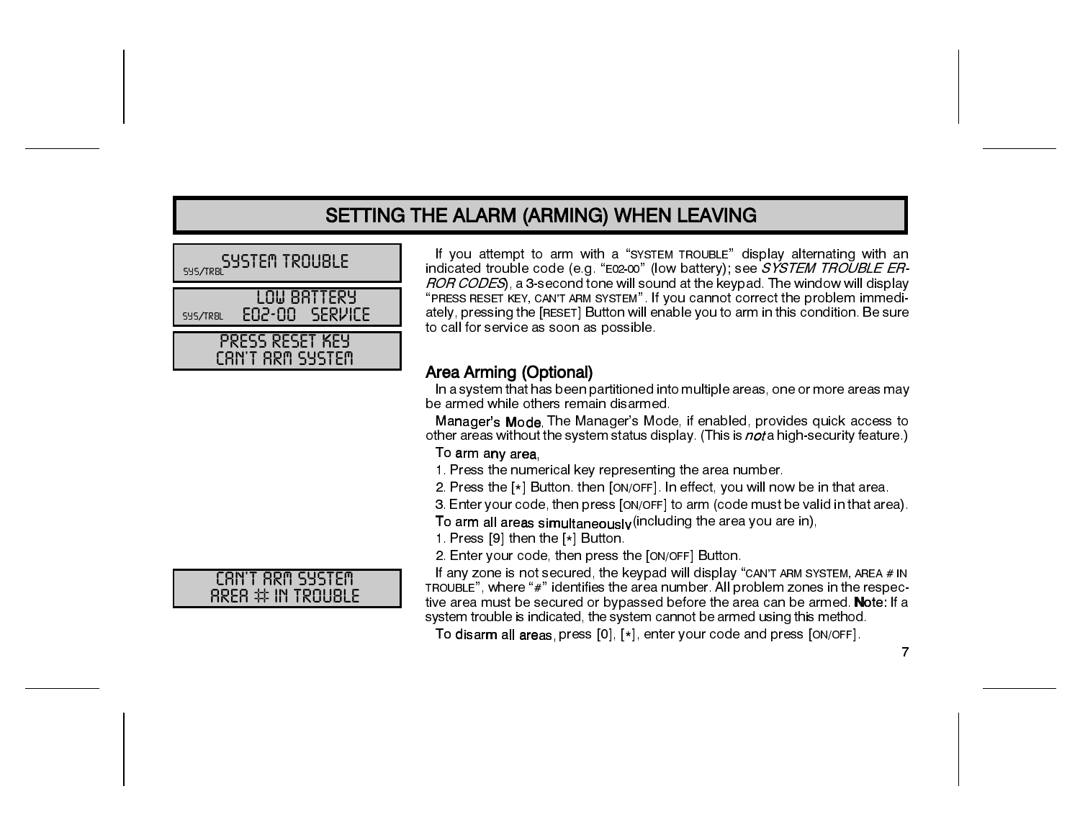### SETTING THE ALARM (ARMING) WHEN LEAVING

| <b>SYSTEM TROUBLE</b><br>SYS/TRBL |                                     |  |  |
|-----------------------------------|-------------------------------------|--|--|
| <b>SYS/TRBL</b>                   | LOW BRTTERY<br>EN2-00 SERVICE       |  |  |
|                                   | PRESS RESET KEY<br>CAN'T ARM SYSTEM |  |  |

If you attempt to arm with a "SYSTEM TROUBLE" display alternating with an indicated trouble code (e.g. "E02-00" (low battery); see SYSTEM TROUBLE ER-ROR CODES), a 3-second tone will sound at the keypad. The window will display "PRESS RESET KEY, CAN'T ARM SYSTEM". If you cannot correct the problem immediately, pressing the [RESET] Button will enable you to arm in this condition. Be sure to call for service as soon as possible.

#### Area Arming (Optional)

In a system that has been partitioned into multiple areas, one or more areas may be armed while others remain disarmed.

Manager's Mode. The Manager's Mode, if enabled, provides quick access to other areas without the system status display. (This is not a high-security feature.)

#### To arm any area.

1. Press the numerical key representing the area number.

2. Press the [\*] Button. then [ON/OFF]. In effect, you will now be in that area.

3. Enter your code, then press [ON/OFF] to arm (code must be valid in that area).

To arm all areas simultaneously (including the area you are in),

1. Press [9] then the [\*] Button.

2. Enter your code, then press the [ON/OFF] Button.

If any zone is not secured, the keypad will display "CAN'T ARM SYSTEM, AREA # IN TROUBLE", where "#" identifies the area number. All problem zones in the respective area must be secured or bypassed before the area can be armed. Note: If a system trouble is indicated, the system cannot be armed using this method.

To disarm all areas, press [0], [\*], enter your code and press [ON/OFF].



 $\overline{7}$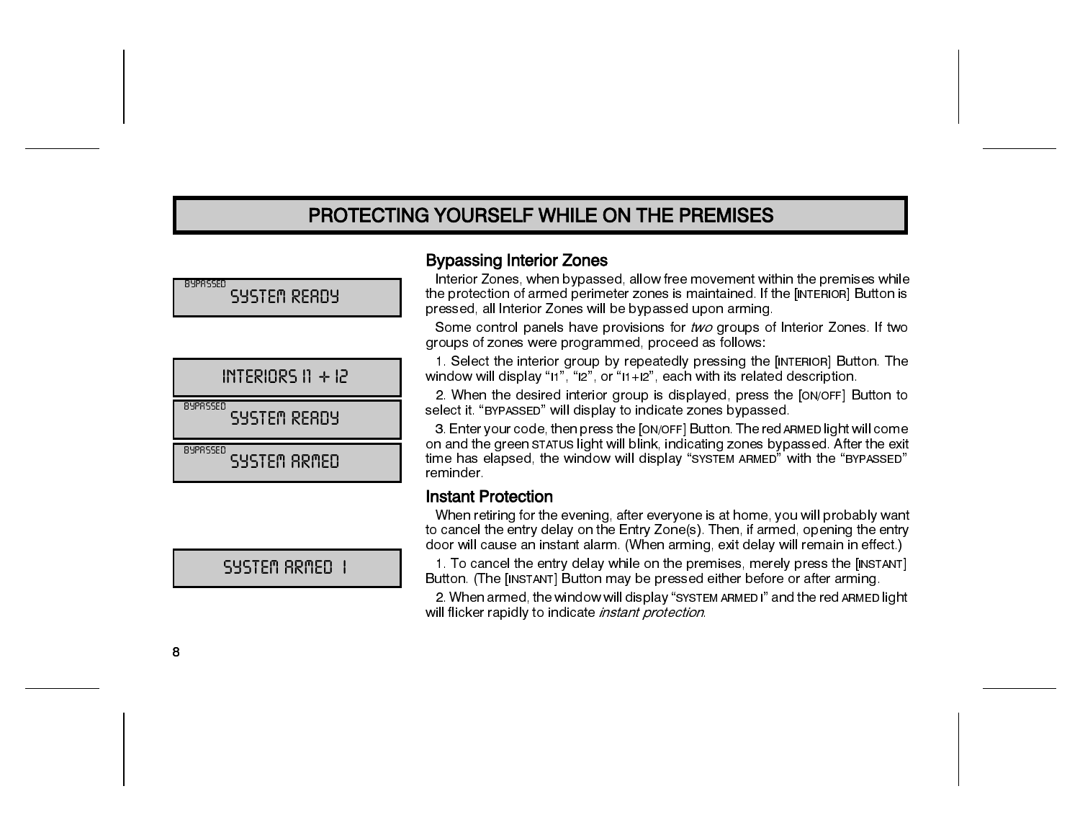### PROTECTING YOURSELF WHILE ON THE PREMISES

89PRSSED SYSTEM READY

|                 | $INTERIORS 11 + 12$ |
|-----------------|---------------------|
| <b>RYPRSSED</b> | SYSTEM READY        |
| <b>RYPRSSED</b> | SYSTEM ARMED        |

**Bypassing Interior Zones** 

Interior Zones, when bypassed, allow free movement within the premises while the protection of armed perimeter zones is maintained. If the [INTERIOR] Button is pressed, all Interior Zones will be bypassed upon arming.

Some control panels have provisions for two groups of Interior Zones. If two groups of zones were programmed, proceed as follows:

1. Select the interior group by repeatedly pressing the [INTERIOR] Button. The window will display " $11$ ", " $12$ ", or " $11+12$ ", each with its related description.

2. When the desired interior group is displayed, press the [ON/OFF] Button to select it "BYPASSED" will display to indicate zones bypassed.

3. Enter your code, then press the [ON/OFF] Button. The red ARMED light will come on and the green STATUS light will blink, indicating zones bypassed. After the exit time has elapsed, the window will display "SYSTEM ARMED" with the "BYPASSED" reminder

#### **Instant Protection**

When retiring for the evening, after everyone is at home, you will probably want to cancel the entry delay on the Entry Zone(s). Then, if armed, opening the entry door will cause an instant alarm. (When arming, exit delay will remain in effect.)

1. To cancel the entry delay while on the premises, merely press the [INSTANT] Button. (The [INSTANT] Button may be pressed either before or after arming.

2. When armed, the window will display "SYSTEM ARMEDI" and the red ARMED light will flicker rapidly to indicate *instant protection* 

SYSTEM ARMED 1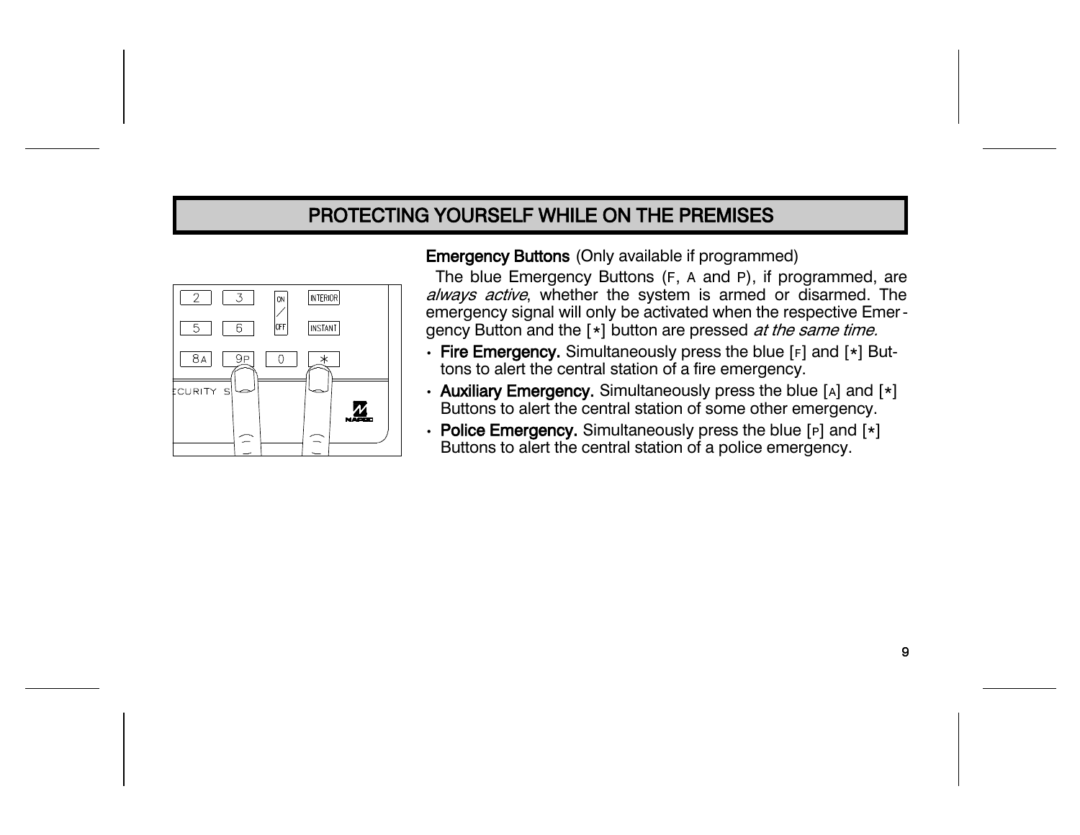### PROTECTING YOURSELF WHILE ON THE PREMISES



#### **Emergency Buttons (Only available if programmed)**

The blue Emergency Buttons (F, A and P), if programmed, are always active, whether the system is armed or disarmed. The emergency signal will only be activated when the respective Emergency Button and the [\*] button are pressed at the same time.

- Fire Emergency. Simultaneously press the blue [F] and [\*] Buttons to alert the central station of a fire emergency.
- Auxiliary Emergency. Simultaneously press the blue [A] and [\*] Buttons to alert the central station of some other emergency.
- Police Emergency. Simultaneously press the blue [P] and [\*] Buttons to alert the central station of a police emergency.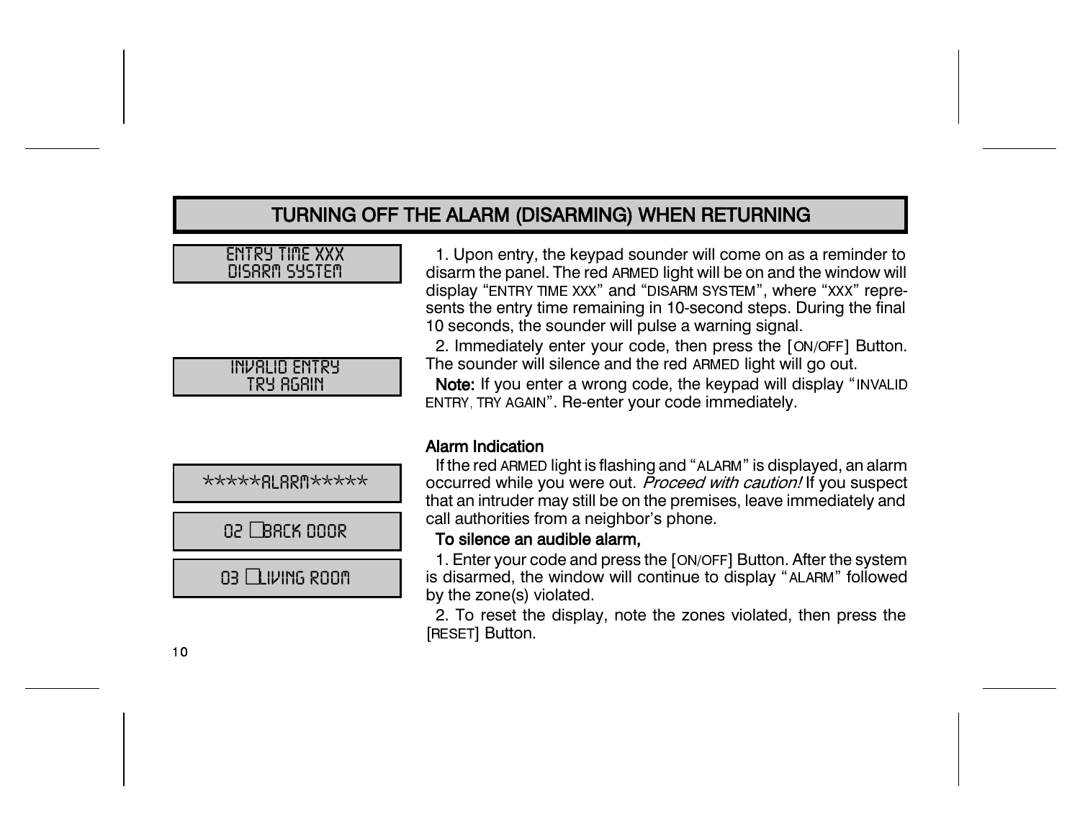### TURNING OFF THE ALARM (DISARMING) WHEN RETURNING

#### **ENTRY TIME XXX** DISARM SYSTEM

| INVALID ENTRY |
|---------------|
|               |
|               |
| TRY RGAIN     |
|               |

| *****RLRRM***** |
|-----------------|
|                 |
| na L Back noor  |
|                 |
| 03 LLIVING ROOM |

1. Upon entry, the keypad sounder will come on as a reminder to disarm the panel. The red ARMED light will be on and the window will display "ENTRY TIME XXX" and "DISARM SYSTEM", where "XXX" represents the entry time remaining in 10-second steps. During the final 10 seconds, the sounder will pulse a warning signal.

2. Immediately enter your code, then press the [ON/OFF] Button. The sounder will silence and the red ARMED light will go out.

Note: If you enter a wrong code, the keypad will display "INVALID ENTRY, TRY AGAIN". Re-enter your code immediately.

#### **Alarm Indication**

If the red ARMED light is flashing and "ALARM" is displayed, an alarm occurred while you were out. Proceed with caution! If you suspect that an intruder may still be on the premises, leave immediately and call authorities from a neighbor's phone.

#### To silence an audible alarm,

1. Enter your code and press the [ON/OFF] Button. After the system is disarmed, the window will continue to display "ALARM" followed by the zone(s) violated.

2. To reset the display, note the zones violated, then press the [RESET] Button.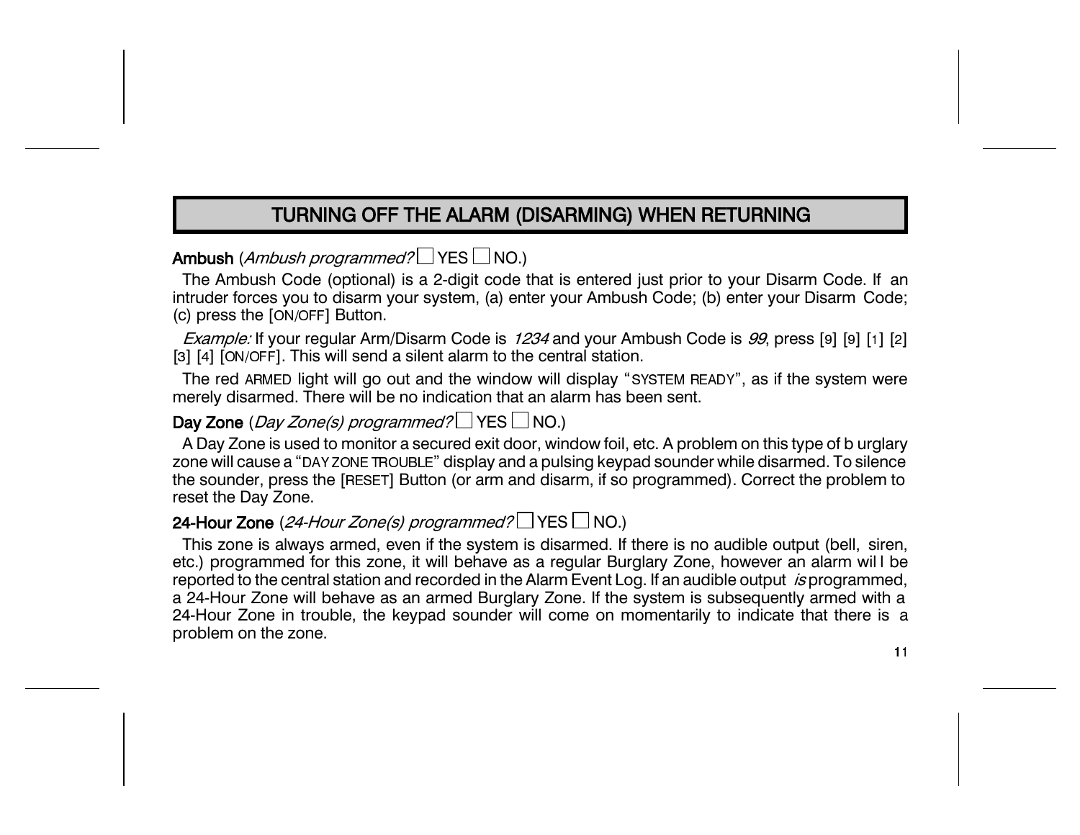### TURNING OFF THE ALARM (DISARMING) WHEN RETURNING

### Ambush (Ambush programmed?  $\Box$  YES  $\Box$  NO.)

The Ambush Code (optional) is a 2-digit code that is entered just prior to your Disarm Code. If an intruder forces you to disarm your system, (a) enter your Ambush Code; (b) enter your Disarm Code; (c) press the [ON/OFF] Button.

Example: If your regular Arm/Disarm Code is 1234 and your Ambush Code is 99, press [9] [9] [1] [2] [3] [4] [ON/OFF]. This will send a silent alarm to the central station.

The red ARMED light will go out and the window will display "SYSTEM READY", as if the system were merely disarmed. There will be no indication that an alarm has been sent.

#### Day Zone (Day Zone(s) programmed?  $\Box$  YES  $\Box$  NO.)

A Day Zone is used to monitor a secured exit door, window foil, etc. A problem on this type of b urglary zone will cause a "DAY ZONE TROUBLE" display and a pulsing keypad sounder while disarmed. To silence the sounder, press the [RESET] Button (or arm and disarm, if so programmed). Correct the problem to reset the Day Zone.

#### 24-Hour Zone (24-Hour Zone(s) programmed? YES INO.)

This zone is always armed, even if the system is disarmed. If there is no audible output (bell, siren, etc.) programmed for this zone, it will behave as a regular Burglary Zone, however an alarm will be reported to the central station and recorded in the Alarm Event Log. If an audible output is programmed, a 24-Hour Zone will behave as an armed Burglary Zone. If the system is subsequently armed with a 24-Hour Zone in trouble, the keypad sounder will come on momentarily to indicate that there is a problem on the zone.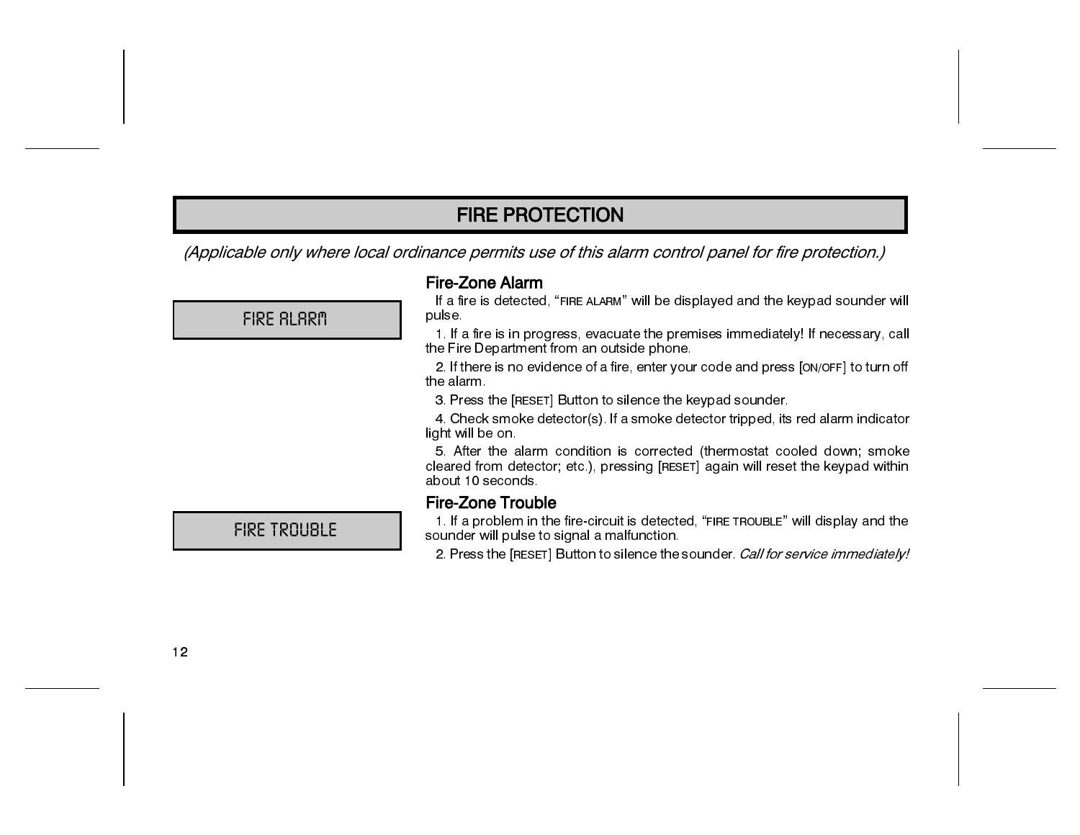(Applicable only where local ordinance permits use of this alarm control panel for fire protection.)

#### **Fire-Zone Alarm**

If a fire is detected, "FIRE ALARM" will be displayed and the keypad sounder will pulse.

1. If a fire is in progress, evacuate the premises immediately! If necessary, call the Fire Department from an outside phone.

2. If there is no evidence of a fire, enter your code and press [ON/OFF] to turn off the alarm.

3. Press the [RESET] Button to silence the keypad sounder.

4. Check smoke detector(s). If a smoke detector tripped, its red alarm indicator light will be on.

5. After the alarm condition is corrected (thermostat cooled down; smoke cleared from detector; etc.), pressing [RESET] again will reset the keypad within about 10 seconds

#### **Fire-Zone Trouble**

1. If a problem in the fire-circuit is detected, "FIRE TROUBLE" will display and the sounder will pulse to signal a malfunction.

2. Press the [RESET] Button to silence the sounder. Call for service immediately!

FIRE BLBRM

### FIRE TROUBLE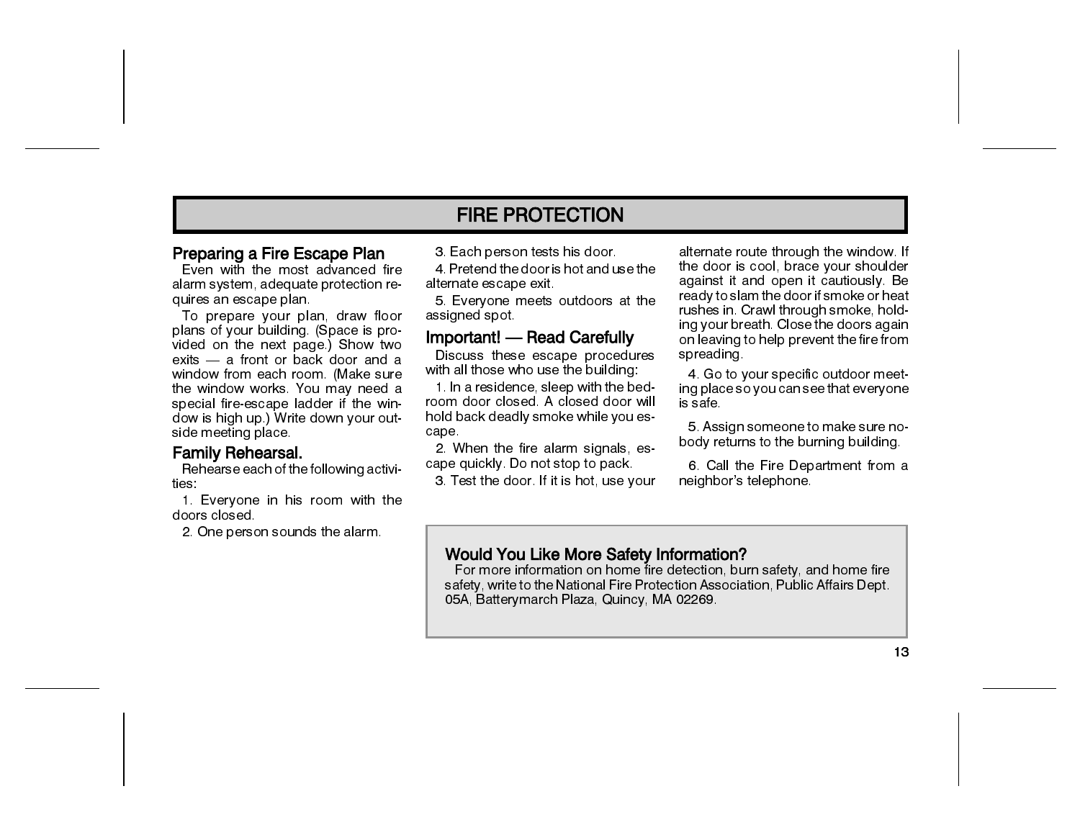#### Preparing a Fire Escape Plan

Even with the most advanced fire alarm system, adequate protection requires an escape plan.

To prepare your plan, draw floor plans of your building. (Space is provided on the next page.) Show two exits — a front or back door and a window from each room. (Make sure the window works. You may need a special fire-escape ladder if the window is high up.) Write down your outside meeting place.

#### Family Rehearsal.

Rehearse each of the following activities:

1. Everyone in his room with the doors closed

2. One person sounds the alarm.

3. Each person tests his door.

4. Pretend the door is hot and use the alternate escape exit.

5. Everyone meets outdoors at the assigned spot

#### **Important!** — Read Carefully

Discuss these escape procedures with all those who use the building:

1. In a residence, sleep with the bedroom door closed. A closed door will hold back deadly smoke while you escape.

2. When the fire alarm signals, escape quickly. Do not stop to pack.

3. Test the door. If it is hot, use your

alternate route through the window. If the door is cool, brace your shoulder against it and open it cautiously. Be ready to slam the door if smoke or heat rushes in. Crawl through smoke, holding your breath. Close the doors again on leaving to help prevent the fire from spreading.

4. Go to your specific outdoor meeting place so you can see that everyone is safe

5. Assign someone to make sure nobody returns to the burning building.

6. Call the Fire Department from a neighbor's telephone.

#### **Would You Like More Safety Information?**

For more information on home fire detection, burn safety, and home fire safety, write to the National Fire Protection Association, Public Affairs Dept. 05A, Batterymarch Plaza, Quincy, MA 02269.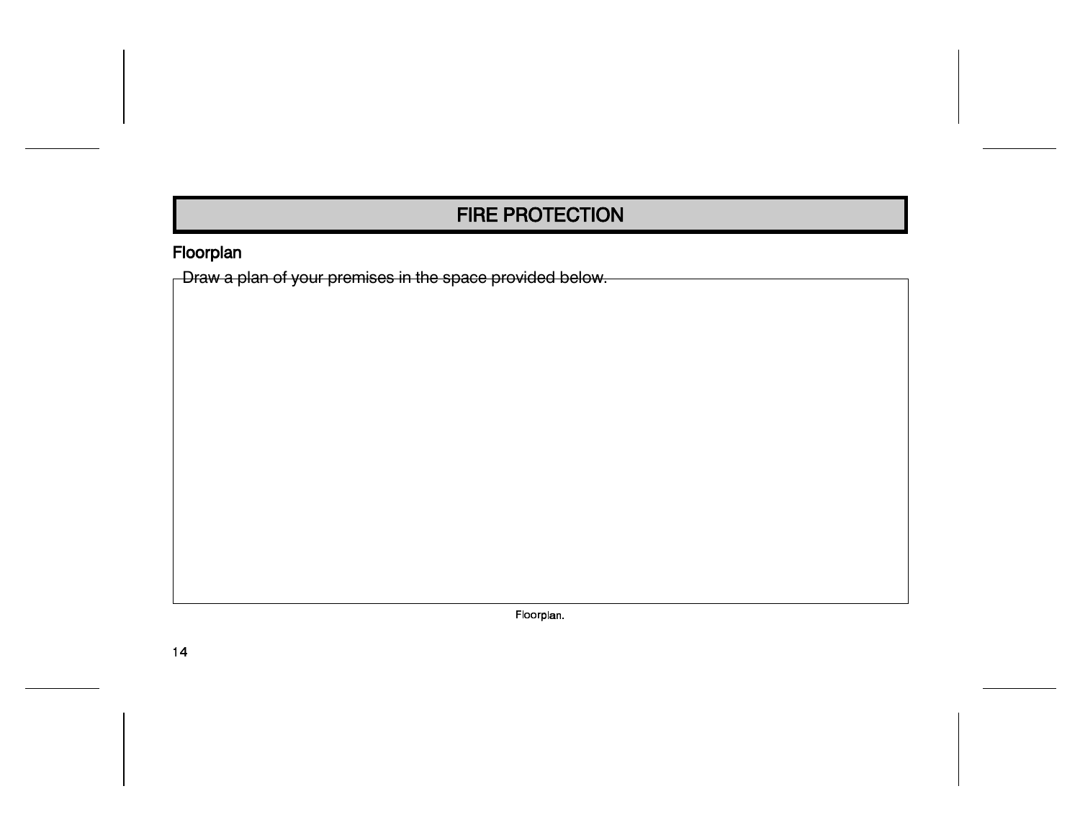### Floorplan

 $\overline{\phantom{a}}$  Draw a plan of your premises in the space provided below.

Floorplan.

 $14$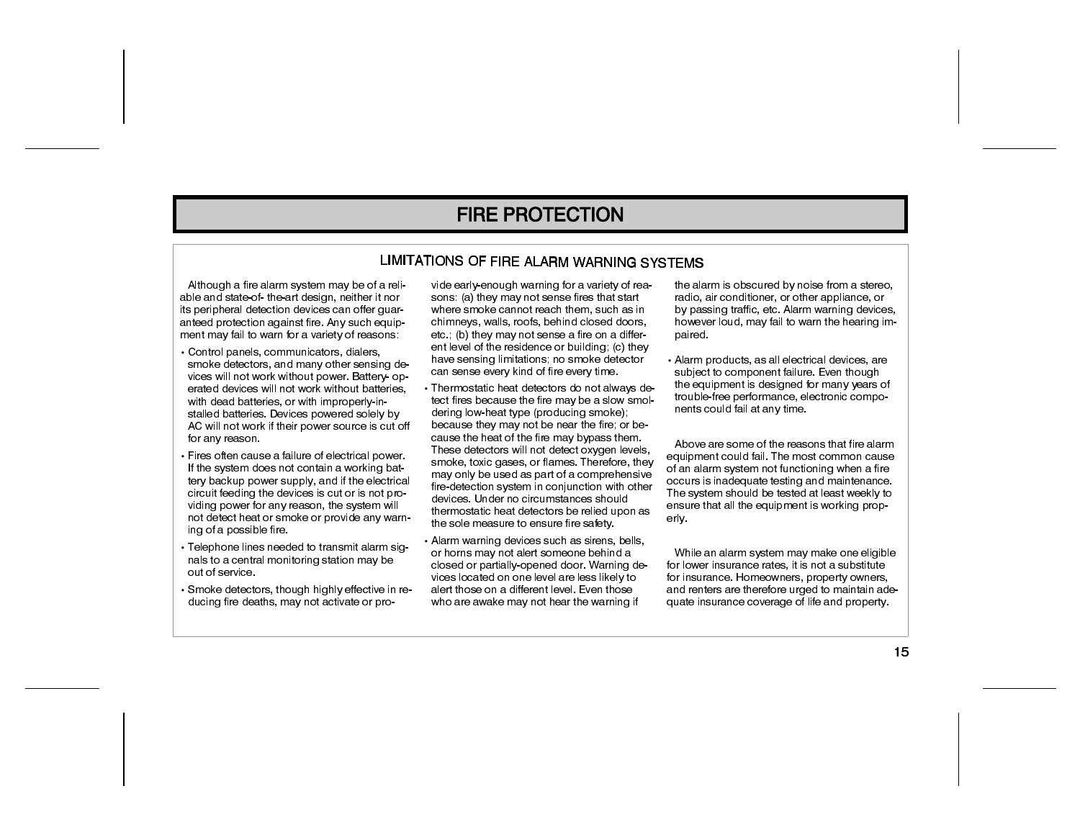#### LIMITATIONS OF FIRE ALARM WARNING SYSTEMS

Although a fire alarm system may be of a reliable and state-of-the-art design, neither it nor its peripheral detection devices can offer guaranteed protection against fire. Any such equipment may fail to warn for a variety of reasons:

- Control panels, communicators, dialers, smoke detectors, and many other sensing devices will not work without power. Battery- operated devices will not work without batteries with dead batteries, or with improperly-installed batteries. Devices powered solely by AC will not work if their power source is cut off for any reason.
- Fires often cause a failure of electrical power. If the system does not contain a working battery backup power supply, and if the electrical circuit feeding the devices is cut or is not providing power for any reason, the system will not detect heat or smoke or provide any warning of a possible fire.
- Telephone lines needed to transmit alarm signals to a central monitoring station may be out of service.
- Smoke detectors, though highly effective in reducing fire deaths, may not activate or pro-

vide early-enough warning for a variety of reasons: (a) they may not sense fires that start where smoke cannot reach them, such as in chimneys, walls, roofs, behind closed doors. etc.: (b) they may not sense a fire on a different level of the residence or building; (c) they have sensing limitations: no smoke detector can sense every kind of fire every time.

- Thermostatic heat detectors do not always detect fires because the fire may be a slow smoldering low-heat type (producing smoke); because they may not be near the fire; or because the heat of the fire may bypass them. These detectors will not detect oxygen levels. smoke, toxic gases, or flames. Therefore, they may only be used as part of a comprehensive fire-detection system in conjunction with other devices. Under no circumstances should thermostatic heat detectors be relied upon as the sole measure to ensure fire safety.
- Alarm warning devices such as sirens, bells, or horns may not alert someone behind a closed or partially-opened door. Warning devices located on one level are less likely to alert those on a different level. Even those who are awake may not hear the warning if

the alarm is obscured by noise from a stereo, radio, air conditioner, or other appliance, or by passing traffic, etc. Alarm warning devices, however loud, may fail to warn the hearing impaired

• Alarm products, as all electrical devices, are subject to component failure. Even though the equipment is designed for many years of trouble-free performance, electronic components could fail at any time.

Above are some of the reasons that fire alarm equipment could fail. The most common cause of an alarm system not functioning when a fire occurs is inadequate testing and maintenance. The system should be tested at least weekly to ensure that all the equipment is working properlv.

While an alarm system may make one eligible for lower insurance rates, it is not a substitute for insurance. Homeowners, property owners, and renters are therefore urged to maintain adequate insurance coverage of life and property.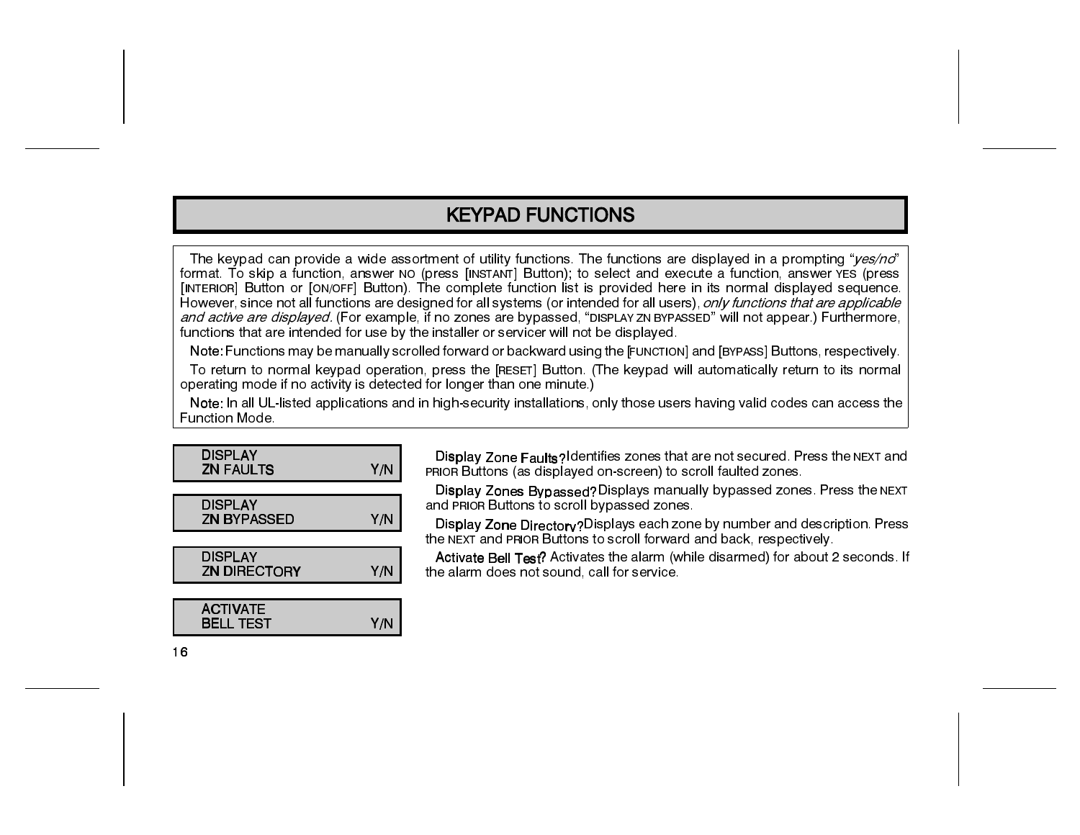The keypad can provide a wide assortment of utility functions. The functions are displayed in a prompting "*yes/no*" format. To skip a function, answer NO (press [INSTANT] Button); to select and execute a function, answer YES (press [INTERIOR] Button or [ON/OFF] Button). The complete function list is provided here in its normal displayed sequence. However, since not all functions are designed for all systems (or intended for all users), only functions that are applicable and active are displayed. (For example, if no zones are bypassed, "DISPLAY ZN BYPASSED" will not appear.) Furthermore, functions that are intended for use by the installer or servicer will not be displayed.

Note: Functions may be manually scrolled forward or backward using the [FUNCTION] and [BYPASS] Buttons, respectively. To return to normal keypad operation, press the [RESET] Button. (The keypad will automatically return to its normal operating mode if no activity is detected for longer than one minute.)

Note: In all UL-listed applications and in high-security installations, only those users having valid codes can access the Function Mode

| <b>DISPLAY</b><br><b>ZN FAULTS</b>    | Y/N |
|---------------------------------------|-----|
| <b>DISPLAY</b><br><b>ZN BYPASSED</b>  | Y/N |
| <b>DISPLAY</b><br><b>ZN DIRECTORY</b> | Y/N |
| <b>ACTIVATE</b>                       |     |
| <b>BELL TEST</b>                      | Y/N |

Display Zone Faults? Identifies zones that are not secured. Press the NEXT and PRIOR Buttons (as displayed on-screen) to scroll faulted zones.

Display Zones Bypassed? Displays manually bypassed zones. Press the NEXT and PRIOR Buttons to scroll bypassed zones.

Display Zone Directory? Displays each zone by number and description. Press the NEXT and PRIOR Buttons to scroll forward and back, respectively.

Activate Bell Test? Activates the alarm (while disarmed) for about 2 seconds. If the alarm does not sound, call for service.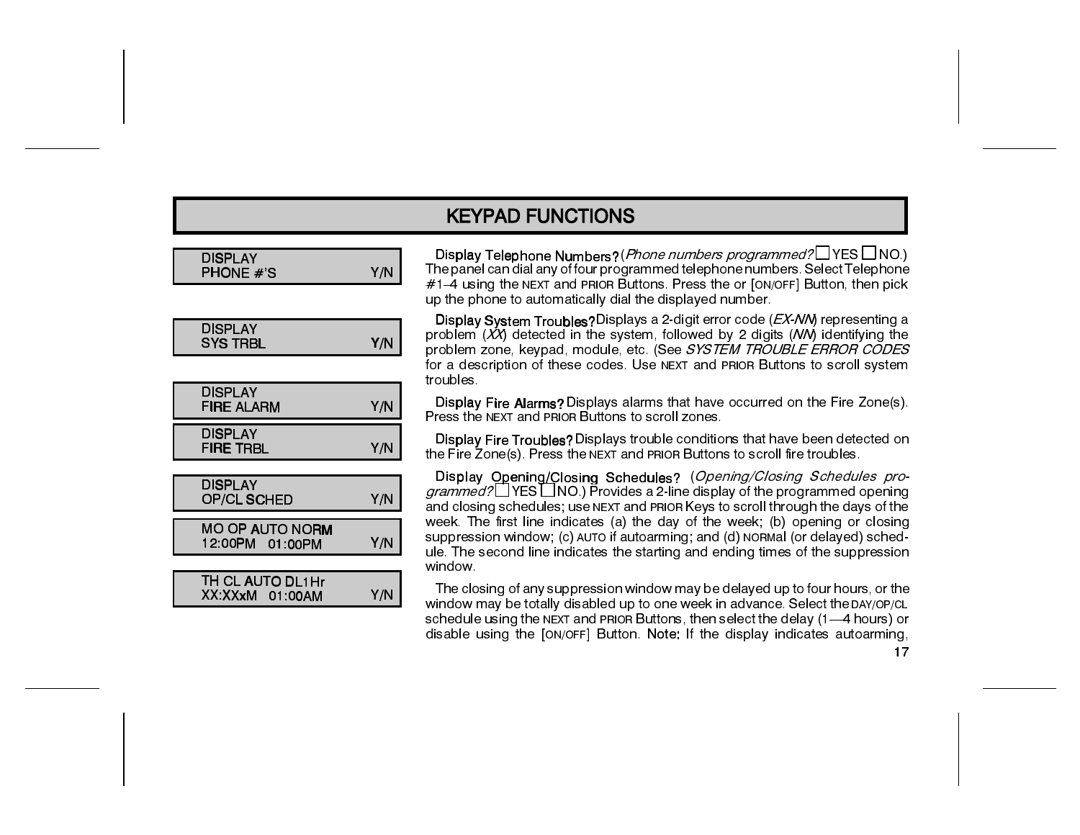| DISPLAY<br>PHONE # S                      | Y/N |
|-------------------------------------------|-----|
|                                           |     |
| DISPLAY<br>SYS TRBL                       | Y/N |
|                                           |     |
| <b>DISPLAY</b><br>FIRE ALARM              | Y/N |
| DISPLAY<br>FIRE TRBL                      | Y/N |
| DISPLAY<br>OP/CL SCHED                    | Y/N |
| <b>MO OP AUTO NORM</b><br>12.00PM 01.00PM | Y/N |
|                                           |     |
| TH CL AUTO DL1Hr<br>XX XXxM 01 00AM       | Y/N |

Display Telephone Numbers? (*Phone numbers programmed*?□ YES □ NO.) The panel can dial any of four programmed telephone numbers. Select Telephone #1-4 using the NEXT and PRIOR Buttons. Press the or [ON/OFF] Button, then pick up the phone to automatically dial the displayed number.

Display System Troubles? Displays a 2-digit error code (EX-NM) representing a problem (XX) detected in the system, followed by 2 digits (NN) identifying the problem zone, keypad, module, etc. (See SYSTEM TROUBLE ERROR CODES for a description of these codes. Use NEXT and PRIOR Buttons to scroll system troubles.

Display Fire Alarms? Displays alarms that have occurred on the Fire Zone(s). Press the NEXT and PRIOR Buttons to scroll zones.

Display Fire Troubles? Displays trouble conditions that have been detected on the Fire Zone(s). Press the NEXT and PRIOR Buttons to scroll fire troubles.

Display Opening/Closing Schedules? (Opening/Closing Schedules programmed? YES NO.) Provides a 2-line display of the programmed opening and closing schedules; use NEXT and PRIOR Keys to scroll through the days of the week. The first line indicates (a) the day of the week; (b) opening or closing suppression window; (c) AUTO if autoarming; and (d) NORMal (or delayed) schedule. The second line indicates the starting and ending times of the suppression window.

The closing of any suppression window may be delayed up to four hours, or the window may be totally disabled up to one week in advance. Select the DAY/OP/CL schedule using the NEXT and PRIOR Buttons, then select the delay (1-4 hours) or disable using the [ON/OFF] Button. Note: If the display indicates autoarming,

 $17$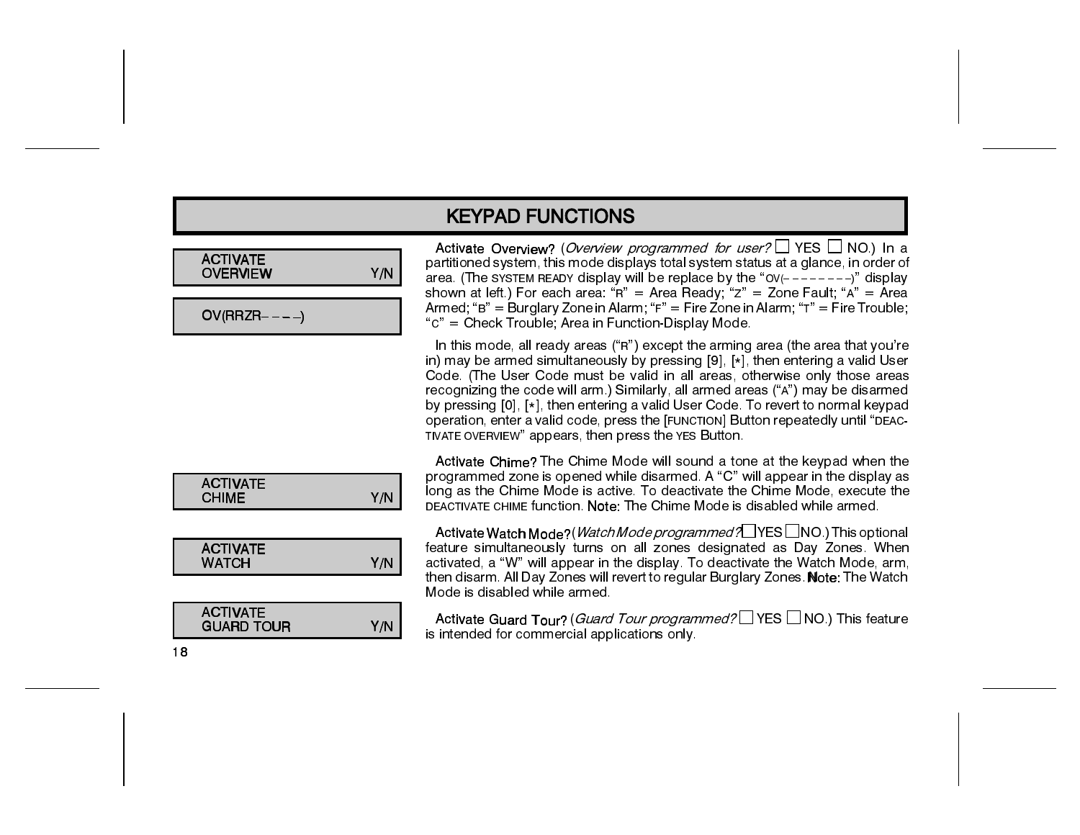| <b>ACTIVATE</b><br><b>OVERVIEW</b> |  |
|------------------------------------|--|
|                                    |  |

 $OV(RRZR---)$ 

| Activate Overview? (Overview programmed for user? $\Box$ YES $\Box$ NO.) In a      |
|------------------------------------------------------------------------------------|
| partitioned system, this mode displays total system status at a glance, in order o |
| area. (The SYSTEM READY display will be replace by the "OV( $------$ )" display    |
| shown at left.) For each area: "R" = Area Ready; "z" = Zone Fault; "A" = Area      |
| Armed; "B" = Burglary Zone in Alarm; "F" = Fire Zone in Alarm; "T" = Fire Trouble  |
| "c" = Check Trouble; Area in Function-Display Mode.                                |

In this mode, all ready areas ("R") except the arming area (the area that you're in) may be armed simultaneously by pressing [9], [\*], then entering a valid User Code. (The User Code must be valid in all areas, otherwise only those areas recognizing the code will arm.) Similarly, all armed areas ("A") may be disarmed by pressing [0], [\*], then entering a valid User Code. To revert to normal keypad operation, enter a valid code, press the [FUNCTION] Button repeatedly until "DEAC-TIVATE OVERVIEW" appears, then press the YES Button.

| <b>ACTIVATE</b><br><b>CHIME</b>      | Y/N |
|--------------------------------------|-----|
|                                      |     |
| <b>ACTIVATE</b><br><b>WATCH</b>      | Y/N |
|                                      |     |
| <b>ACTIVATE</b><br><b>GUARD TOUR</b> | Y/N |

Activate Chime? The Chime Mode will sound a tone at the keypad when the programmed zone is opened while disarmed. A "C" will appear in the display as long as the Chime Mode is active. To deactivate the Chime Mode, execute the DEACTIVATE CHIME function. Note: The Chime Mode is disabled while armed.

Activate Watch Mode?(*Watch Mode programmed*?□YES□NO.) This optional feature simultaneously turns on all zones designated as Day Zones. When activated, a "W" will appear in the display. To deactivate the Watch Mode, arm, then disarm. All Day Zones will revert to regular Burglary Zones. Note: The Watch Mode is disabled while armed.

Activate Guard Tour? (Guard Tour programmed? VES INO.) This feature is intended for commercial applications only.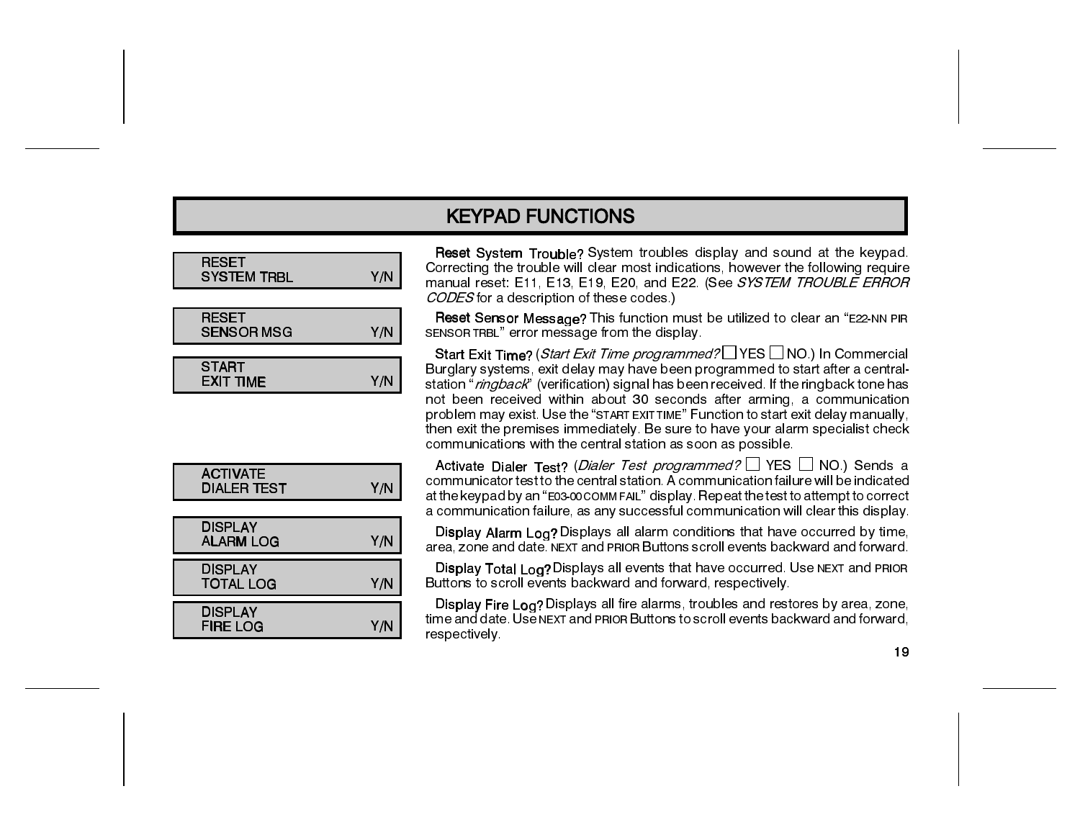| <b>RESET</b><br><b>SYSTEM TRBL</b> | Y/N |
|------------------------------------|-----|
|                                    |     |
| <b>RESET</b><br><b>SENSOR MSG</b>  | Y/N |
|                                    |     |
| <b>START</b><br><b>EXIT TIME</b>   | Y/N |

| <b>ACTIVATE</b><br>DIALER TEST | Y/N |
|--------------------------------|-----|
|                                |     |
| <b>DISPLAY</b><br>ALARM LOG    | Y/N |
| DISPLAY<br><b>TOTAL LOG</b>    | Y/N |
| <b>DISPLAY</b>                 |     |
| FIRE LOG                       | Y/N |

Reset System Trouble? System troubles display and sound at the keypad. Correcting the trouble will clear most indications, however the following require manual reset: E11, E13, E19, E20, and E22. (See SYSTEM TROUBLE ERROR CODES for a description of these codes.)

Reset Sensor Message? This function must be utilized to clear an "E22-NN PIR SENSOR TRBL" error message from the display.

Start Exit Time? (Start Exit Time programmed? Start Exit Time commercial Burglary systems, exit delay may have been programmed to start after a centralstation "ringback" (verification) signal has been received. If the ringback tone has not been received within about 30 seconds after arming, a communication problem may exist. Use the "START EXIT TIME" Function to start exit delay manually, then exit the premises immediately. Be sure to have your alarm specialist check communications with the central station as soon as possible.

Activate Dialer Test? (Dialer Test programmed? □ YES □ NO.) Sends a communicator test to the central station. A communication failure will be indicated at the keypad by an "E03-00 COMMFAIL" display. Repeat the test to attempt to correct a communication failure, as any successful communication will clear this display.

Display Alarm Log? Displays all alarm conditions that have occurred by time, area, zone and date. NEXT and PRIOR Buttons scroll events backward and forward.

Display Total Log? Displays all events that have occurred. Use NEXT and PRIOR Buttons to scroll events backward and forward, respectively.

Display Fire Log? Displays all fire alarms, troubles and restores by area, zone, time and date. Use NEXT and PRIOR Buttons to scroll events backward and forward. respectively.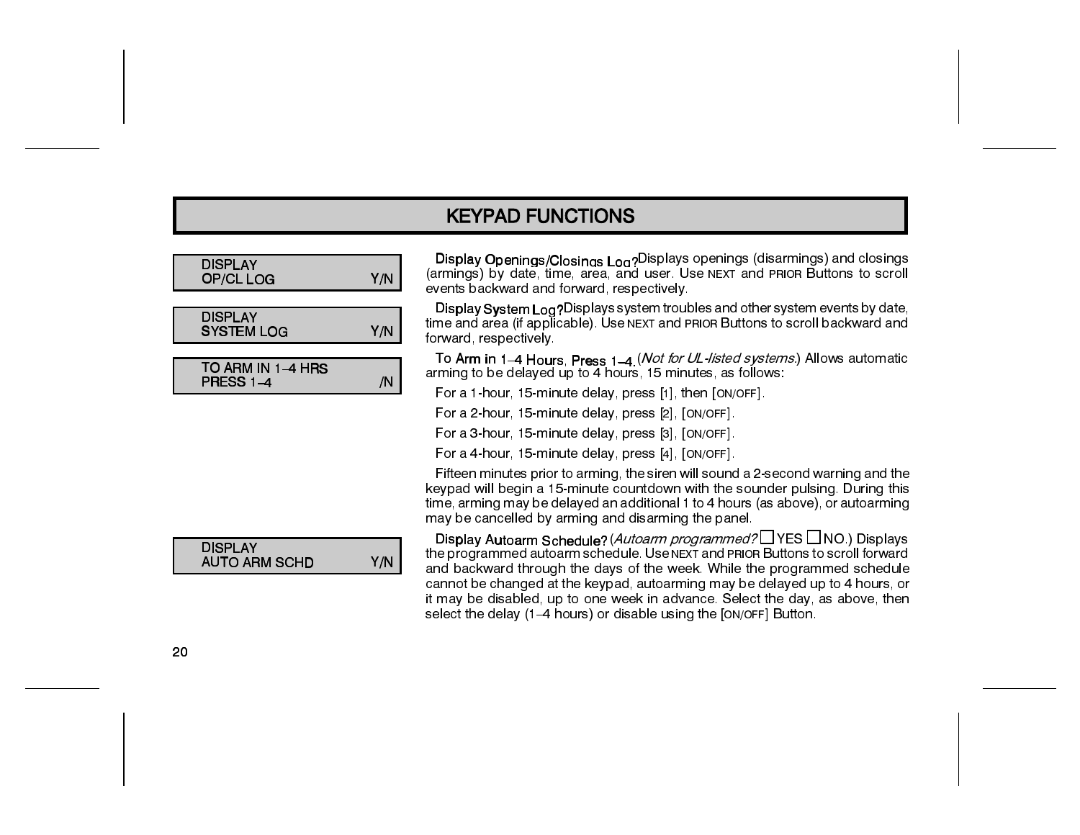| <b>DISPLAY</b><br>Y/N<br>OP/CL LOG            | (ar<br>ev  |
|-----------------------------------------------|------------|
|                                               | D          |
| <b>DISPLAY</b><br><b>SYSTEM LOG</b><br>Y/N    | tίm<br>for |
|                                               | ٦          |
| TO ARM IN 1-4 HRS<br><b>PRESS 1-4</b><br>/N   | arı        |
|                                               | F          |
|                                               | F          |
|                                               | F          |
|                                               | F          |
|                                               | F          |
|                                               | ke         |
|                                               | tίm        |
|                                               | m          |
| <b>DISPLAY</b><br>Y/N<br><b>AUTO ARM SCHD</b> | D<br>the   |

Di<mark>splay Openings/Closings Log?</mark>Displays openings (disarmings) and closings<br>rmings) by date, time, area, and user. Use NExT and PRIOR Buttons to scroll ents backward and forward, respectively.

Display System Log?Displays system troubles and other system events by date, ne and area (if applicable). Use NEXT and PRIOR Buttons to scroll backward and rward, respectively.

To Ar<mark>m</mark> in 1–4 Hours, Press 1–4 (*Not for UL-listed systems.*) Allows automatic<br>ming to be delayed up to 4 hours, 15 minutes, as follows:

For a 1-hour, 15-minute delay, press [1], then [ON/OFF].

For a 2-hour, 15-minute delay, press [2], [ON/OFF].

For a 3-hour, 15-minute delay, press [3], [ON/OFF].

For a 4-hour, 15-minute delay, press [4], [ON/OFF].

Fifteen minutes prior to arming, the siren will sound a 2-second warning and the eypad will begin a 15-minute countdown with the sounder pulsing. During this ne, arming may be delayed an additional 1 to 4 hours (as above), or autoarming ay be cancelled by arming and disarming the panel.

Display Autoarm Schedule?*(Autoarm programmed?*□ YES □ NO.) Displays e programmed autoarm schedule. Use NEXT and PRIOR Buttons to scroll forward and backward through the days of the week. While the programmed schedule cannot be changed at the keypad, autoarming may be delayed up to 4 hours, or it may be disabled, up to one week in advance. Select the day, as above, then select the delay (1–4 hours) or disable using the [ON/OFF] Button.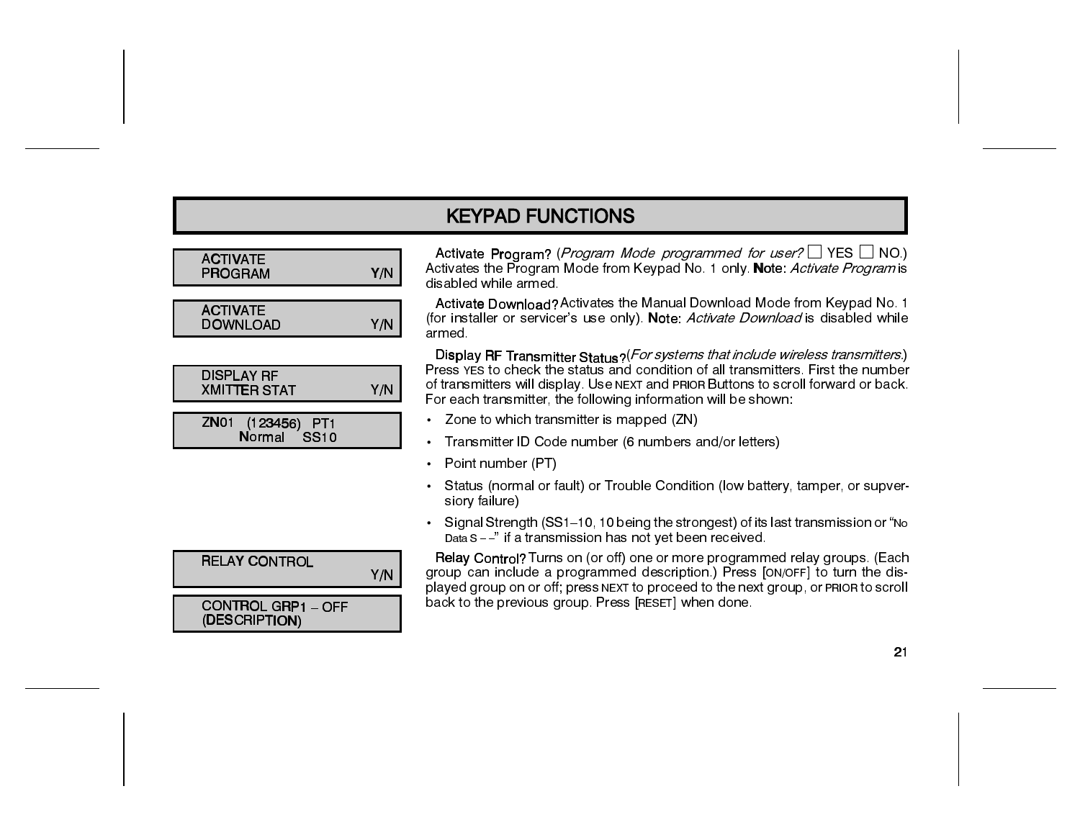| <b>ACTIVATE</b><br><b>PROGRAM</b>        | Y/N |
|------------------------------------------|-----|
| <b>ACTIVATE</b><br>DOWNLOAD              | Y/N |
|                                          |     |
| <b>DISPLAY RF</b><br><b>XMITTER STAT</b> | Y/N |
| ZN01 (123456) PT1<br>Normal SS10         |     |
|                                          |     |
|                                          |     |
|                                          |     |
| <b>RELAY CONTROL</b>                     | Y/N |

Activate Program? (Program Mode programmed for user?  $\Box$  YES  $\Box$  NO.) Activates the Program Mode from Keypad No. 1 only. Note: Activate Program is disabled while armed.

Activate Download? Activates the Manual Download Mode from Keypad No. 1 (for installer or servicer's use only). Note: Activate Download is disabled while armed.

Display RF Transmitter Status? (*For systems that include wireless transmitters*.)<br>Press YES to check the status and condition of all transmitters. First the number of transmitters will display. Use NEXT and PRIOR Buttons to scroll forward or back. For each transmitter, the following information will be shown:

- Zone to which transmitter is mapped (ZN)
- Transmitter ID Code number (6 numbers and/or letters)  $\bullet$
- Point number (PT)  $\bullet$
- Status (normal or fault) or Trouble Condition (low battery, tamper, or supversiory failure)
- Signal Strength (SS1-10, 10 being the strongest) of its last transmission or "No Data S -- " if a transmission has not yet been received.

Relay Control? Turns on (or off) one or more programmed relay groups. (Each group can include a programmed description.) Press [ON/OFF] to turn the displayed group on or off; press NEXT to proceed to the next group, or PRIOR to scroll back to the previous group. Press [RESET] when done.

| <b>ELAY CONTROL</b>                      | Y/N |
|------------------------------------------|-----|
| ONTROL GRP1 - OFF<br><b>DESCRIPTION)</b> |     |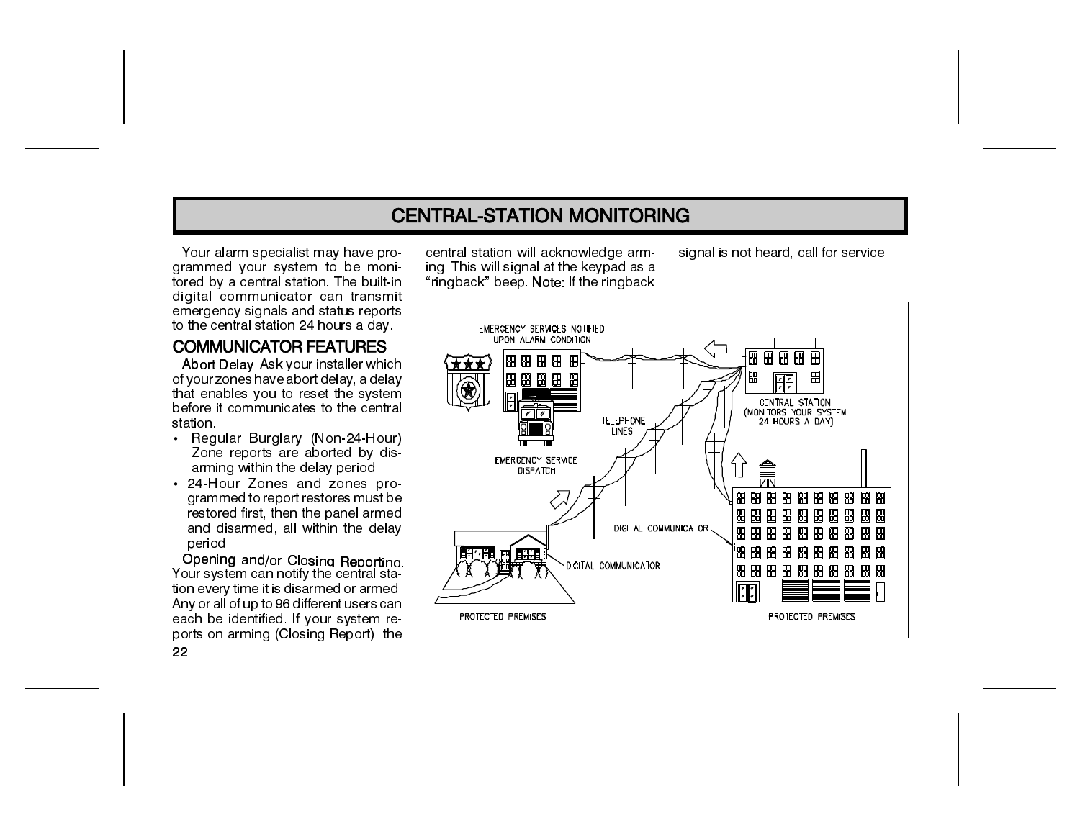### **CENTRAL-STATION MONITORING**

Your alarm specialist may have proarammed vour system to be monitored by a central station. The built-in digital communicator can transmit emergency signals and status reports to the central station 24 hours a day.

#### **COMMUNICATOR FEATURES**

Abort Delay. Ask your installer which of your zones have abort delay, a delay that enables you to reset the system before it communicates to the central station.

- Regular Burglary (Non-24-Hour) Zone reports are aborted by disarming within the delay period.
- 24 Hour Zones and zones programmed to report restores must be restored first, then the panel armed and disarmed, all within the delay period

Opening and/or Closing Reporting. Your system can notify the central station every time it is disarmed or armed. Any or all of up to 96 different users can each be identified. If your system reports on arming (Closing Report), the

central station will acknowledge arming. This will signal at the keypad as a "ringback" beep. Note: If the ringback signal is not heard, call for service.



22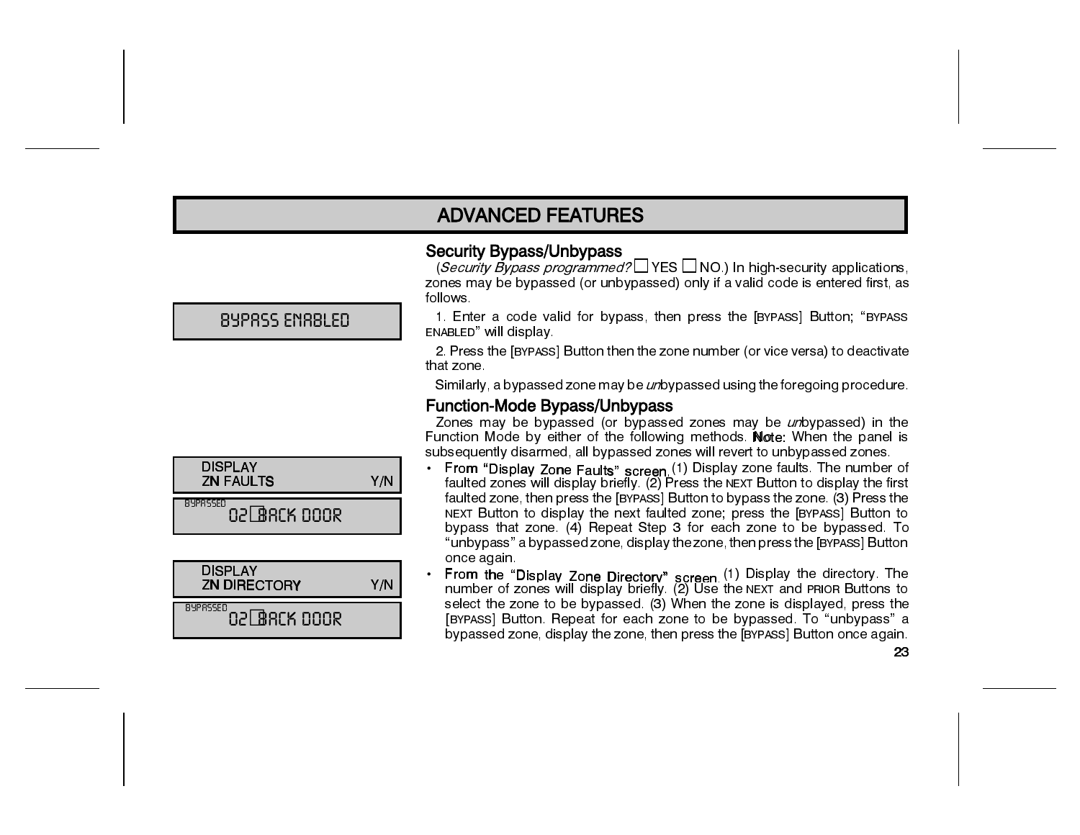### **ADVANCED FEATURES**

#### **Security Bypass/Unbypass**

(Security Bypass programmed?  $\Box$  YES  $\Box$  NO.) In high-security applications. zones may be bypassed (or unbypassed) only if a valid code is entered first, as follows.

1. Enter a code valid for bypass, then press the [BYPASS] Button; "BYPASS ENABLED" will display.

2. Press the [BYPASS] Button then the zone number (or vice versa) to deactivate that zone.

Similarly, a bypassed zone may be *un*bypassed using the foregoing procedure.

#### **Function-Mode Bypass/Unbypass**

Zones may be bypassed (or bypassed zones may be *un*bypassed) in the Function Mode by either of the following methods. Note: When the panel is subsequently disarmed, all bypassed zones will revert to unbypassed zones.

- From "Display Zone Faults" screen (1) Display zone faults. The number of faulted zones will display briefly. (2) Press the NEXT Button to display the first faulted zone, then press the [BYPASS] Button to bypass the zone. (3) Press the NEXT Button to display the next faulted zone; press the [BYPASS] Button to bypass that zone. (4) Repeat Step 3 for each zone to be bypassed. To "unbypass" a bypassed zone, display the zone, then press the [BYPASS] Button once again.
- From the "Display Zone Directory" screen (1) Display the directory. The number of zones will display briefly. (2) Use the NEXT and PRIOR Buttons to select the zone to be bypassed. (3) When the zone is displayed, press the [BYPASS] Button. Repeat for each zone to be bypassed. To "unbypass" a bypassed zone, display the zone, then press the [BYPASS] Button once again.

**BYPRSS ENRBLED** 

| <b>ZN FAULTS</b>                      | Y/N |
|---------------------------------------|-----|
| 842855E0<br>02 BRCK 000R              |     |
|                                       |     |
| <b>DISPLAY</b><br><b>ZN DIRECTORY</b> | Y/N |
| BYPRSSED<br>021 BACK DOOR             |     |

**DISPLAY**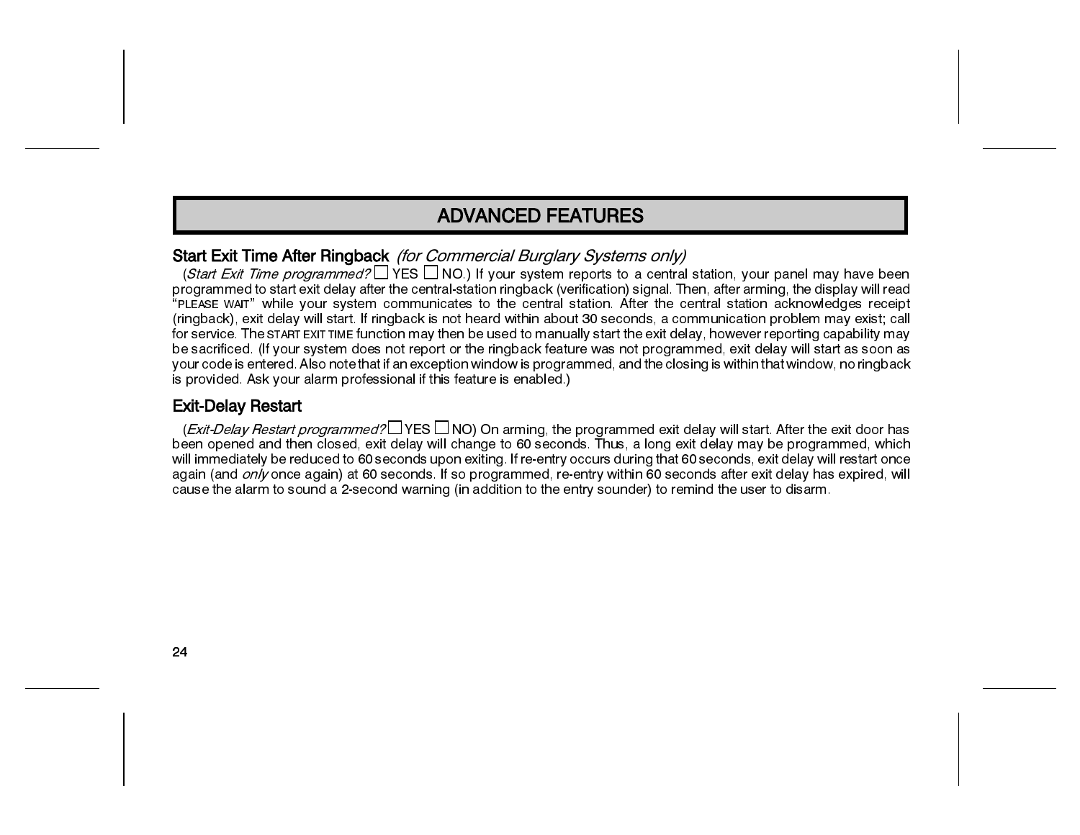### **ADVANCED FEATURES**

#### Start Exit Time After Ringback (for Commercial Burglary Systems only)

(Start Exit Time programmed?  $\Box$  YES  $\Box$  NO.) If your system reports to a central station, your panel may have been programmed to start exit delay after the central-station ringback (verification) signal. Then, after arming, the display will read "PLEASE WAIT" while your system communicates to the central station. After the central station acknowledges receipt (ringback), exit delay will start. If ringback is not heard within about 30 seconds, a communication problem may exist; call for service. The START EXITTIME function may then be used to manually start the exit delay, however reporting capability may be sacrificed. (If your system does not report or the ringback feature was not programmed, exit delay will start as soon as your code is entered. Also note that if an exception window is programmed, and the closing is within that window, no ringback is provided. Ask your alarm professional if this feature is enabled.)

#### **Exit-Delay Restart**

(*Exit-Delay Restart programmed?* YES  $\Box$  NO) On arming, the programmed exit delay will start. After the exit door has been opened and then closed, exit delay will change to 60 seconds. Thus, a long exit delay may be programmed, which will immediately be reduced to 60 seconds upon exiting. If re-entry occurs during that 60 seconds, exit delay will restart once again (and only once again) at 60 seconds. If so programmed, re-entry within 60 seconds after exit delay has expired, will cause the alarm to sound a 2-second warning (in addition to the entry sounder) to remind the user to disarm.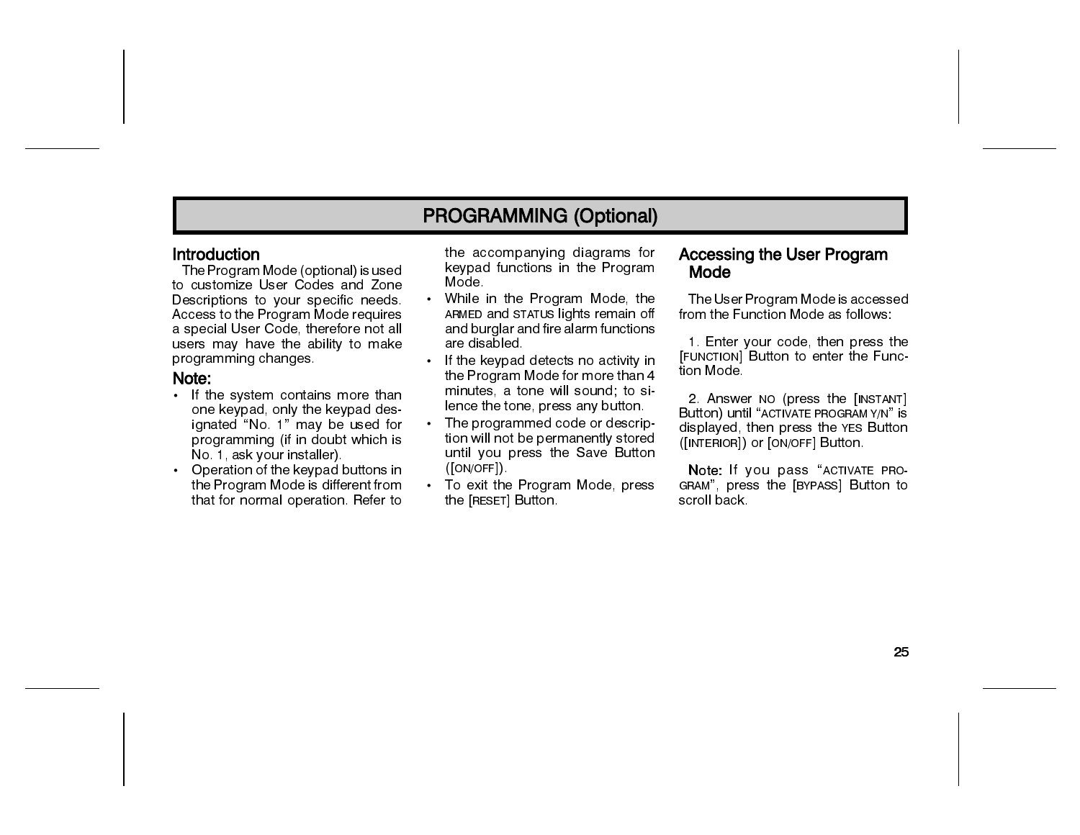#### Introduction

The Program Mode (optional) is used to customize User Codes and Zone Descriptions to your specific needs. Access to the Program Mode requires a special User Code, therefore not all users may have the ability to make programming changes

#### Note:

- If the system contains more than one keypad, only the keypad designated "No. 1" may be used for programming (if in doubt which is No 1, ask your installer).
- Operation of the keypad buttons in the Program Mode is different from that for normal operation. Refer to

the accompanying diagrams for keypad functions in the Program Mode.

- While in the Program Mode, the ARMED and STATUS lights remain off and burglar and fire alarm functions are disabled.
- If the keypad detects no activity in the Program Mode for more than 4 minutes, a tone will sound; to silence the tone, press any button.
- The programmed code or description will not be permanently stored until you press the Save Button ([ON/OFF])
- To exit the Program Mode, press the [RESET] Button.

#### **Accessing the User Program** Mode

The User Program Mode is accessed from the Function Mode as follows:

1. Enter your code, then press the [FUNCTION] Button to enter the Function Mode

2. Answer NO (press the [INSTANT] Button) until "ACTIVATE PROGRAM Y/N" is displayed, then press the YES Button ([INTERIOR]) or [ON/OFF] Button.

Note: If you pass "ACTIVATE PRO-GRAM", press the [BYPASS] Button to scroll back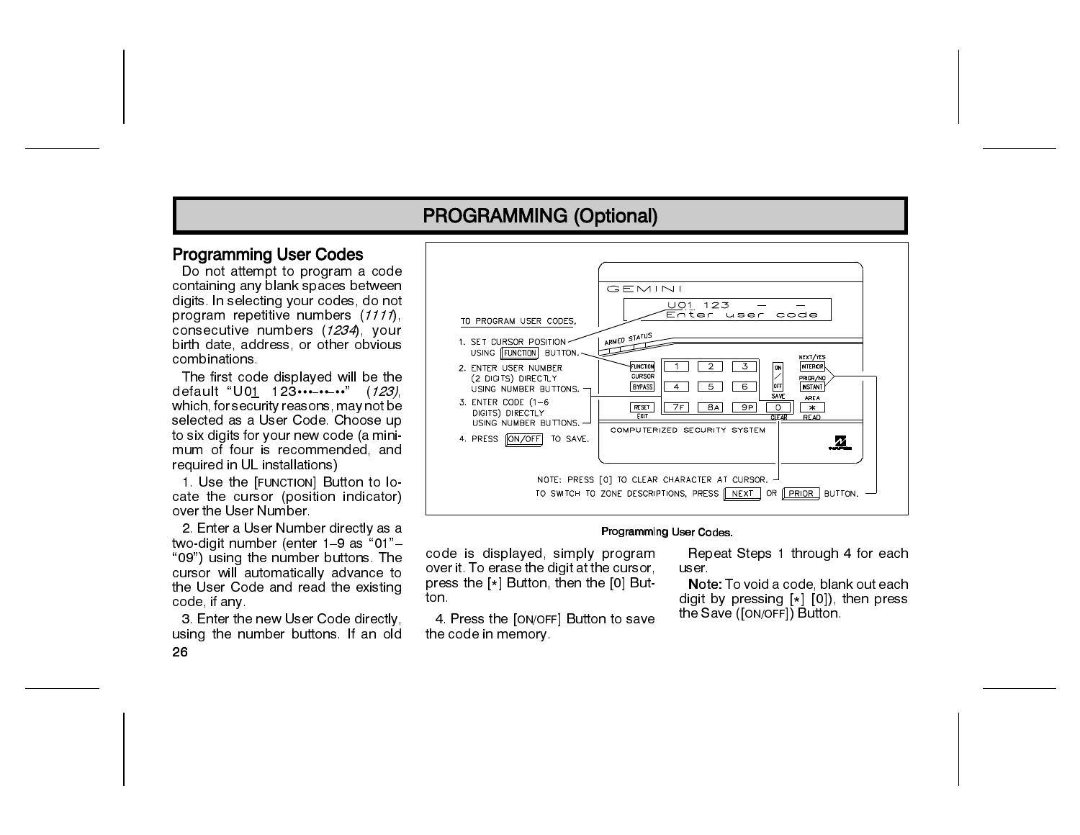#### **Programming User Codes**

Do not attempt to program a code containing any blank spaces between digits. In selecting your codes, do not program repetitive numbers (1111). consecutive numbers (1234) your birth date, address, or other obvious combinations.

The first code displayed will be the default "U01 123........." (*123*) which, for security reasons, may not be selected as a User Code. Choose up to six digits for your new code (a minimum of four is recommended, and required in UL installations)

1. Use the [FUNCTION] Button to locate the cursor (position indicator) over the User Number.

2. Enter a User Number directly as a two-digit number (enter 1-9 as "01"-"09") using the number buttons. The cursor will automatically advance to the User Code and read the existing code if any

3. Enter the new User Code directly. using the number buttons. If an old 26



#### Programming User Codes.

code is displayed, simply program over it. To erase the digit at the cursor, press the [\*] Button, then the [0] Button.

4. Press the [ON/OFF] Button to save the code in memory.

Repeat Steps 1 through 4 for each user

Note: To void a code, blank out each digit by pressing  $[*]$  [0]), then press the Save ([ON/OFF]) Button.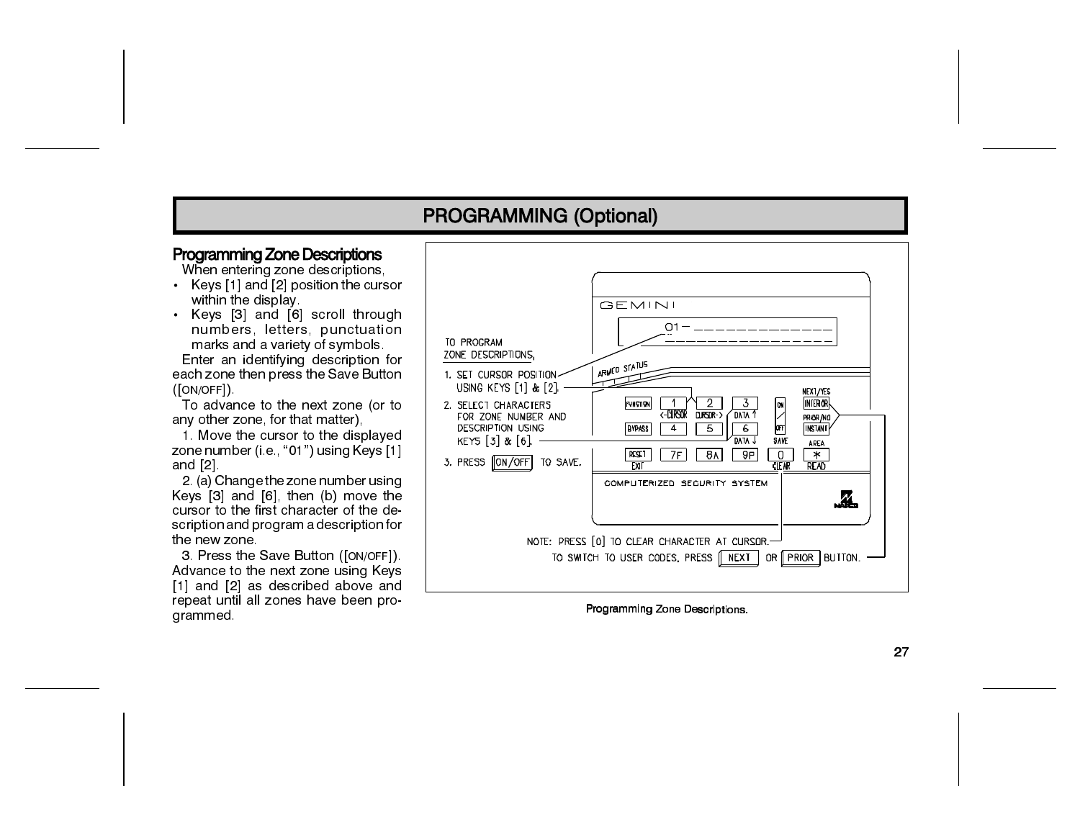#### **Programming Zone Descriptions**

When entering zone descriptions.

- Keys [1] and [2] position the cursor within the display
- Keys [3] and [6] scroll through numbers, letters, punctuation marks and a variety of symbols.

Enter an identifying description for each zone then press the Save Button  $(ION/OFF])$ 

To advance to the next zone (or to any other zone, for that matter),

1. Move the cursor to the displayed zone number (i.e., "01") using Keys [1] and  $[2]$ .

2. (a) Change the zone number using Keys [3] and [6], then (b) move the cursor to the first character of the description and program a description for the new zone.

3. Press the Save Button ([ON/OFF]). Advance to the next zone using Keys [1] and [2] as described above and repeat until all zones have been programmed.



Programming Zone Descriptions.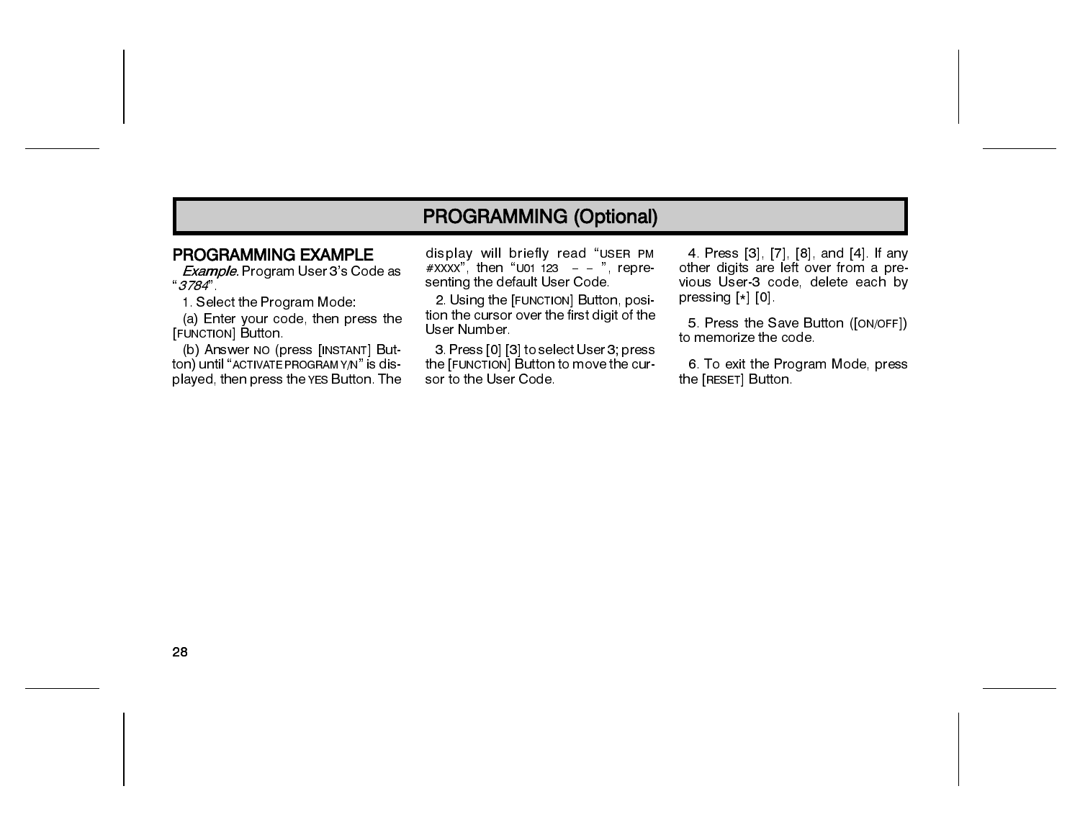#### PROGRAMMING EXAMPLE

Example. Program User 3's Code as " 3784"

1. Select the Program Mode:

(a) Enter your code, then press the [FUNCTION] Button.

(b) Answer NO (press [INSTANT] Button) until "ACTIVATE PROGRAMY/N" is displayed, then press the YES Button. The display will briefly read "USER PM  $\#$ XXXX", then "U01 123 - - ", representing the default User Code.

2. Using the [FUNCTION] Button, position the cursor over the first digit of the User Number.

3. Press [0] [3] to select User 3; press the [FUNCTION] Button to move the cursor to the User Code.

4. Press [3], [7], [8], and [4]. If any other digits are left over from a previous User-3 code, delete each by pressing [\*] [0]

5. Press the Save Button ([ON/OFF]) to memorize the code.

6. To exit the Program Mode, press the [RESET] Button.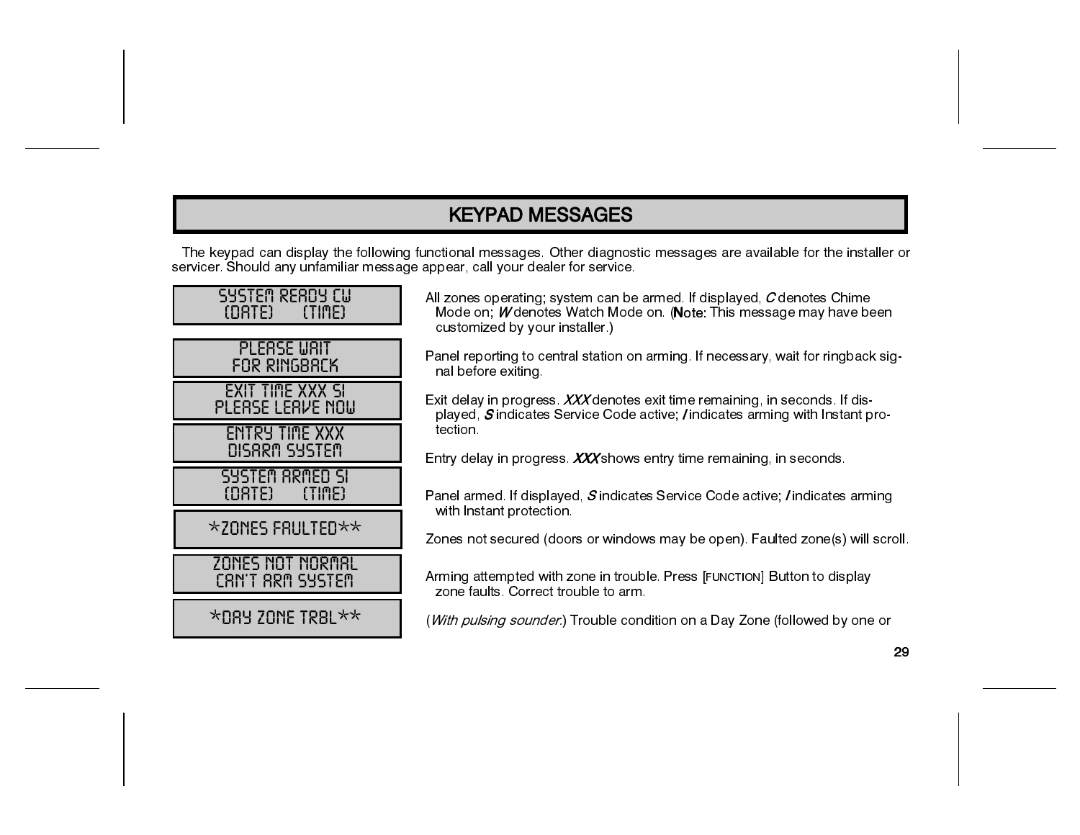## **KEYPAD MESSAGES**

The keypad can display the following functional messages. Other diagnostic messages are available for the installer or servicer. Should any unfamiliar message appear, call your dealer for service.

| SYSTEM READY CU<br>(TIME)<br>(DATE) and | All .<br>м      |
|-----------------------------------------|-----------------|
| <b>PLEASE WAIT</b><br>FOR RINGBACK      | Cι<br>Par<br>nι |
| EXIT TIME XXX SI<br>PLERSE LERVE NOW    | Exil<br>pl      |
| <b>ENTRY TIME XXX</b><br>DISARM SYSTEM  | te<br>Ent       |
| SYSTEM ARMED SI<br>(TIME)<br>$(DATE)$   | Par             |
| $\star$ ZONES FRULTED $\star\star$      | w<br>Zor        |
| ZONES NOT NORMAL<br>CAN'T ARM SYSTEM    | Arn<br>70       |
| $\star$ DAY ZONE TRBL $\star\star$      | (W              |

zones operating; system can be armed. If displayed, C denotes Chime lode on; Wdenotes Watch Mode on. (Note: This message may have been ustomized by your installer.)

nel reporting to central station on arming. If necessary, wait for ringback sigal before exiting.

delay in progress. XXX denotes exit time remaining, in seconds. If dislayed, Sindicates Service Code active; / indicates arming with Instant proction.

try delay in progress. XXX shows entry time remaining, in seconds.

nel armed. If displayed,  $S$  indicates Service Code active; *I* indicates arming ith Instant protection.

nes not secured (doors or windows may be open). Faulted zone(s) will scroll.

ming attempted with zone in trouble. Press [FUNCTION] Button to display one faults. Correct trouble to arm.

*ith pulsing sounder.*) Trouble condition on a Day Zone (followed by one or

29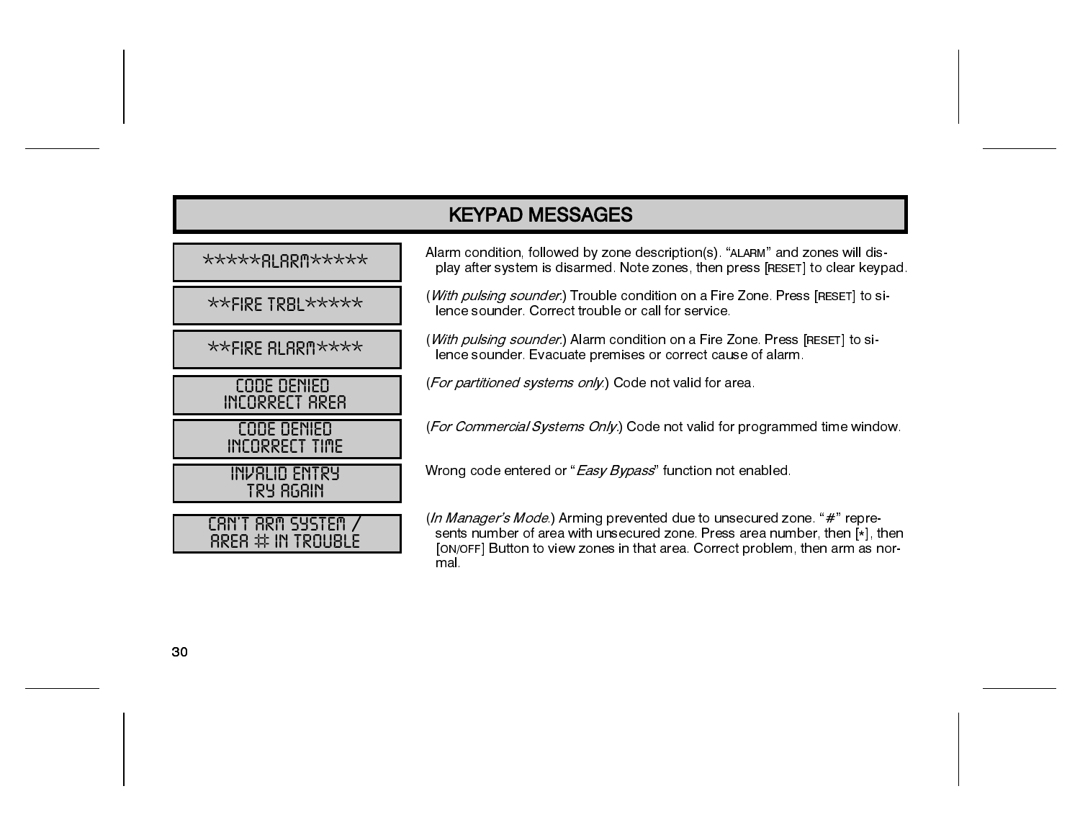| *****RLRRM*****                              |
|----------------------------------------------|
| **FIRE TRBL *****                            |
| $***$ FIRE ALARM****                         |
| CODE DENIED<br>INCORRECT AREA                |
| CODE DENIED<br>INCORRECT TIME                |
| INVALID ENTRY<br>TRY 868IN                   |
| CAN'T ARM SYSTEM /<br>$RRER$ $\#$ in Trouble |

Alarm condition, followed by zone description(s). "ALARM" and zones will display after system is disarmed. Note zones, then press [RESET] to clear keypad.

(With pulsing sounder.) Trouble condition on a Fire Zone. Press [RESET] to silence sounder. Correct trouble or call for service.

(With pulsing sounder.) Alarm condition on a Fire Zone. Press [RESET] to silence sounder. Evacuate premises or correct cause of alarm.

(For partitioned systems only.) Code not valid for area.

(For Commercial Systems Only.) Code not valid for programmed time window.

Wrong code entered or "Easy Bypass" function not enabled.

(In Manager's Mode.) Arming prevented due to unsecured zone. "#" represents number of area with unsecured zone. Press area number, then [\*], then [ON/OFF] Button to view zones in that area. Correct problem, then arm as normal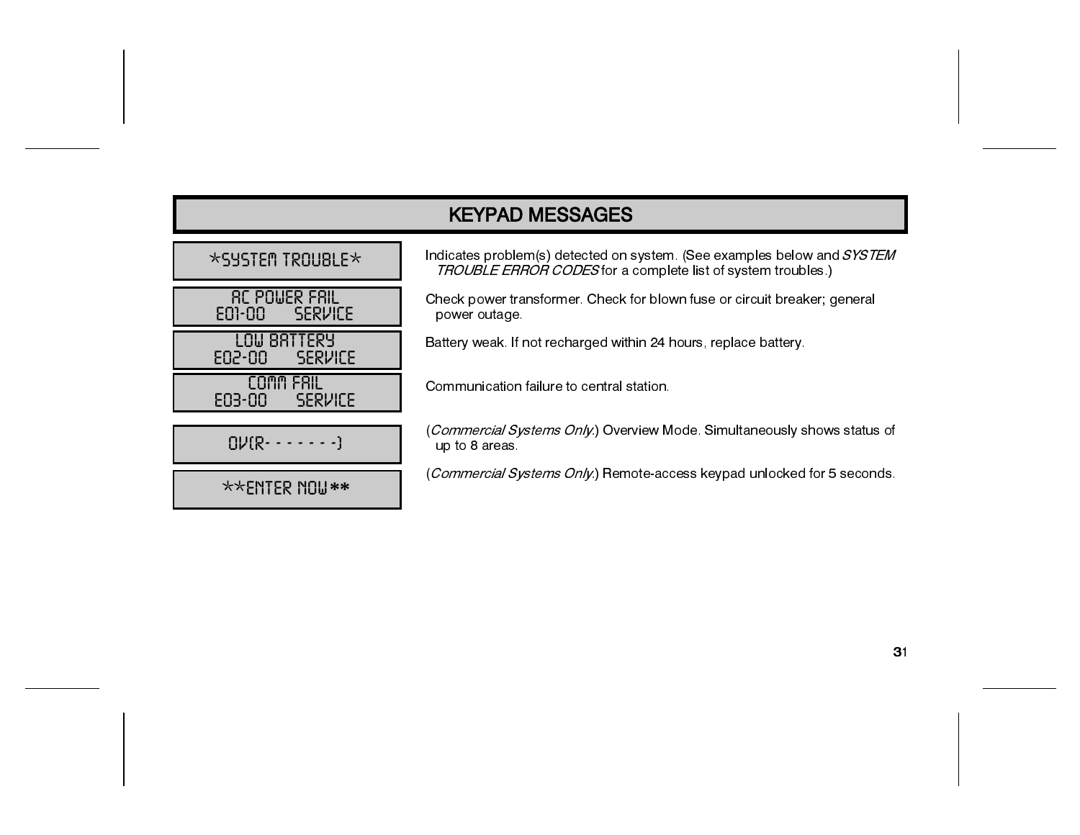| <b>KEYPAD MESSAGES</b>                    |                                                                                                                                                       |  |  |
|-------------------------------------------|-------------------------------------------------------------------------------------------------------------------------------------------------------|--|--|
| $\star$ SYSTEM TROUBLE $\times$           | Indicates problem(s) detected on system. (See examples below and <i>SYSTEM</i><br><b>TROUBLE ERROR CODES</b> for a complete list of system troubles.) |  |  |
| rc Pouer Fril<br><b>SERVICE</b><br>E01-00 | Check power transformer. Check for blown fuse or circuit breaker; general<br>power outage.                                                            |  |  |
| LOW BRTTERY<br><b>SERVICE</b><br>E02-00   | Battery weak. If not recharged within 24 hours, replace battery.                                                                                      |  |  |
| FRIL<br><b>SERVICE</b><br>E03-00          | Communication failure to central station.                                                                                                             |  |  |
| $QV$ $R - - - - - - -$                    | (Commercial Systems Only.) Overview Mode. Simultaneously shows status of<br>up to 8 areas.                                                            |  |  |
| $\star\star$ ENTER NOU $**$               | (Commercial Systems Only.) Remote-access keypad unlocked for 5 seconds.                                                                               |  |  |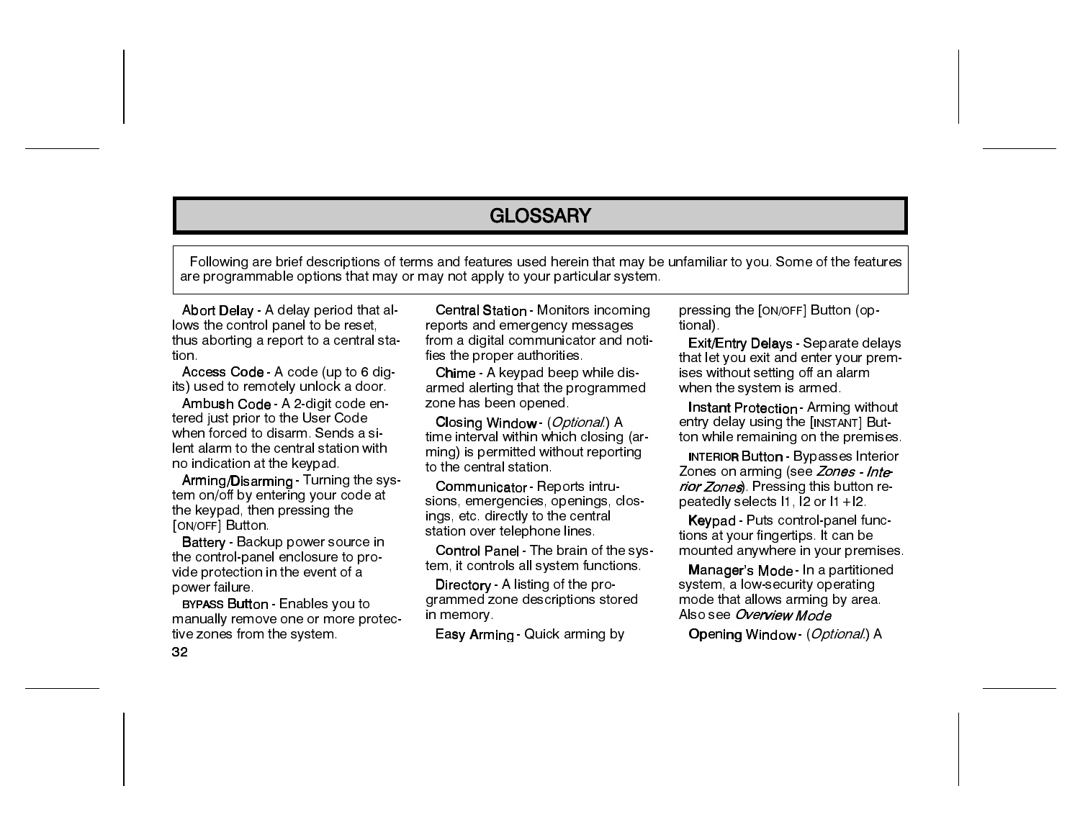### **GLOSSARY**

Following are brief descriptions of terms and features used herein that may be unfamiliar to you. Some of the features are programmable options that may or may not apply to your particular system.

Abort Delay - A delay period that allows the control panel to be reset, thus aborting a report to a central station :

Access Code - A code (up to 6 digits) used to remotely unlock a door.

Ambush Code - A 2-digit code entered just prior to the User Code when forced to disarm. Sends a silent alarm to the central station with no indication at the keypad.

Arming/Disarming - Turning the system on/off by entering your code at the keypad, then pressing the [ON/OFF] Button.

Battery - Backup power source in the control-panel enclosure to provide protection in the event of a power failure.

**BYPASS Button - Enables you to** manually remove one or more protective zones from the system.

Central Station - Monitors incoming reports and emergency messages from a digital communicator and notifies the proper authorities.

Chime - A keypad beep while disarmed alerting that the programmed zone has been opened.

Closing Window (*Optional*) A time interval within which closing (arming) is permitted without reporting to the central station.

Communicator - Reports intrusions, emergencies, openings, closings, etc. directly to the central station over telephone lines.

Control Panel - The brain of the system, it controls all system functions.

Directory - A listing of the programmed zone descriptions stored in memory.

Easy Arming Quick arming by

pressing the [ON/OFF] Button (optional).

Exit/Entry Delays - Separate delays that let you exit and enter your premises without setting off an alarm when the system is armed.

Instant Protection - Arming without entry delay using the [INSTANT] Button while remaining on the premises.

**INTERIOR Button - Bypasses Interior** Zones on arming (see Zones - Interior Zones). Pressing this button repeatedly selects 11, 12 or 11 +12.

Keypad - Puts control-panel functions at your fingertips. It can be mounted anywhere in your premises.

Manager's Mode - In a partitioned system, a low-security operating mode that allows arming by area. Also see Overview Mode

**O**pening Window (*Optional.*) A

32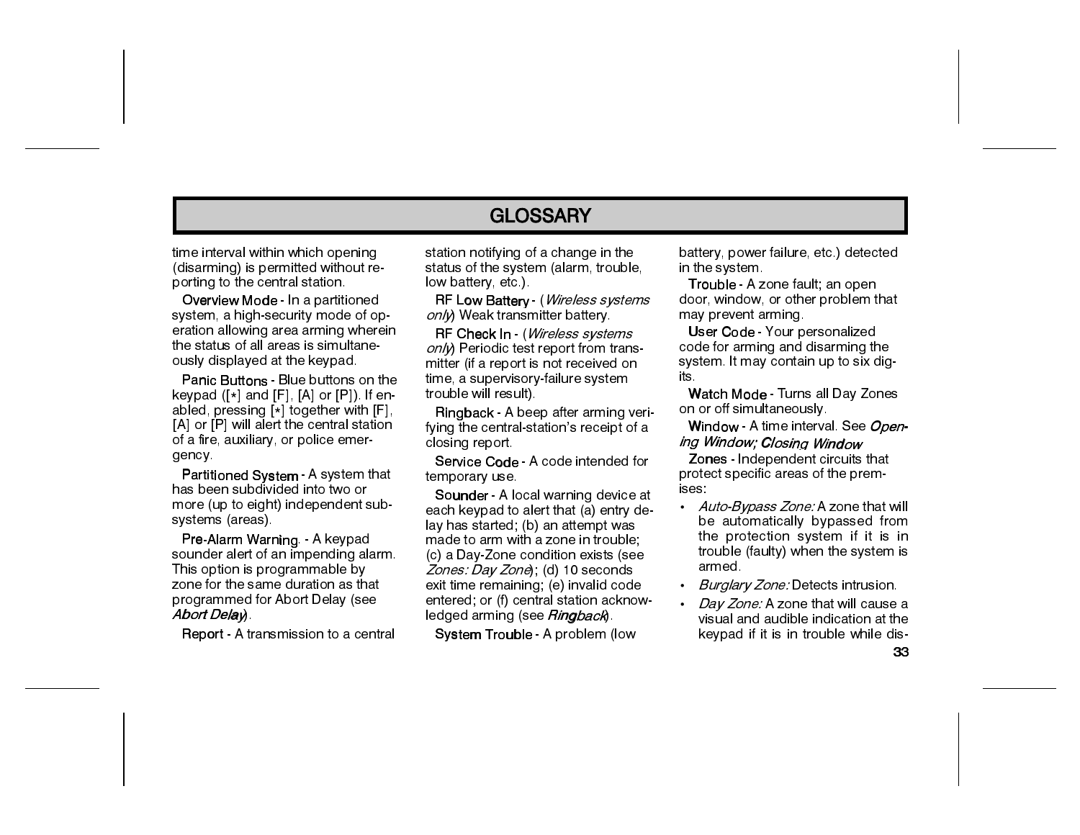### **GLOSSARY**

time interval within which opening (disarming) is permitted without reporting to the central station.

Overview Mode - In a partitioned system, a high-security mode of operation allowing area arming wherein the status of all areas is simultaneously displayed at the keypad.

Panic Buttons - Blue buttons on the keypad ([\*] and [F], [A] or [P]). If enabled, pressing [\*] together with [F], [A] or [P] will alert the central station of a fire, auxiliary, or police emergency

Partitioned System - A system that has been subdivided into two or more (up to eight) independent subsystems (areas).

Pre-Alarm Warning - A keypad sounder alert of an impending alarm. This option is programmable by zone for the same duration as that programmed for Abort Delay (see Abort Delay)

**Report** - A transmission to a central

station notifying of a change in the status of the system (alarm, trouble, low battery, etc.)

RF Low Battery - (Wireless systems only) Weak transmitter battery.

RF Check In - (Wireless systems on/γ) Periodic test report from transmitter (if a report is not received on time, a supervisory-failure system trouble will result).

Ringback - A beep after arming verifying the central-station's receipt of a closing report

Service Code - A code intended for temporary use

Sounder - A local warning device at each keypad to alert that (a) entry delay has started: (b) an attempt was made to arm with a zone in trouble: (c) a Day-Zone condition exists (see Zones: Day Zone): (d) 10 seconds exit time remaining; (e) invalid code entered; or (f) central station acknowledged arming (see Ringback).

System Trouble - A problem (low

battery, power failure, etc.) detected in the system.

Trouble - A zone fault; an open door, window, or other problem that may prevent arming.

User Code - Your personalized code for arming and disarming the system. It may contain up to six digits.

Watch Mode - Turns all Day Zones on or off simultaneously

Window - A time interval. See *Open*ing Window; Closing Window

Zones - Independent circuits that protect specific areas of the premises.

- Auto-Bypass Zone: A zone that will be automatically bypassed from the protection system if it is in trouble (faulty) when the system is armed.
- Burglary Zone: Detects intrusion.
- Day Zone: A zone that will cause a visual and audible indication at the keypad if it is in trouble while dis-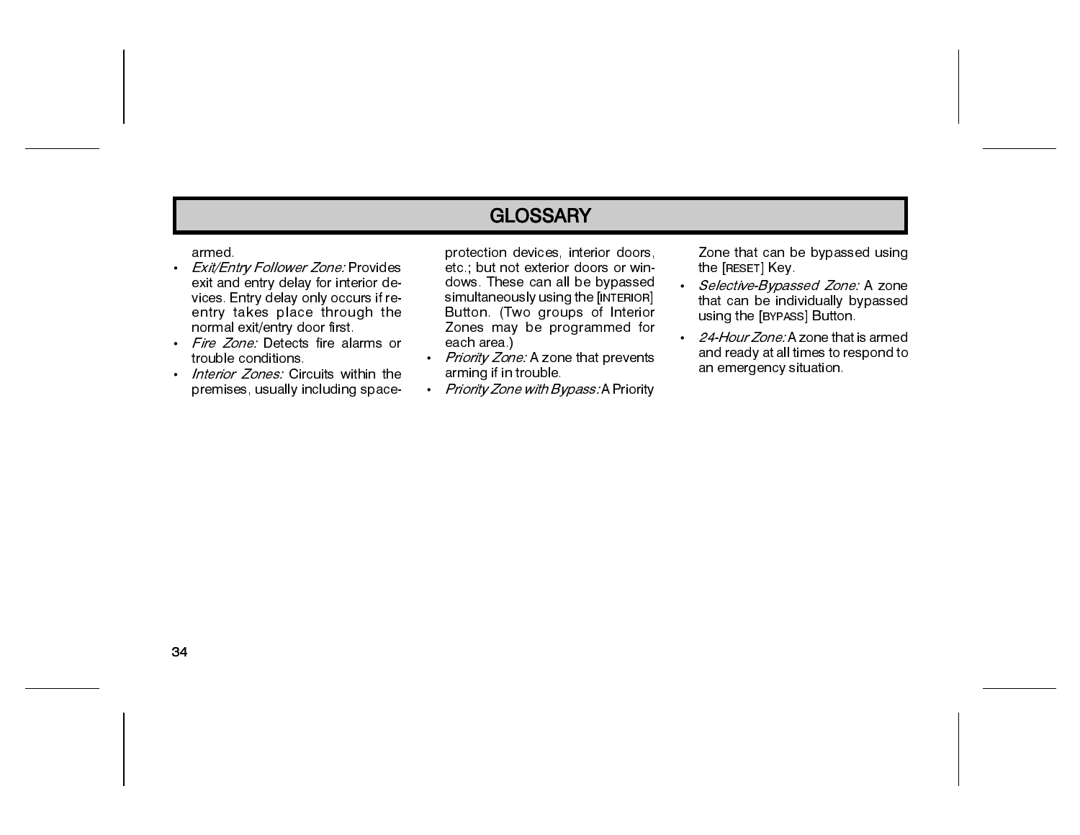### **GLOSSARY**

#### armed.

- Exit/Entry Follower Zone: Provides exit and entry delay for interior devices. Entry delay only occurs if reentry takes place through the normal exit/entry door first.
- · Fire Zone: Detects fire alarms or trouble conditions.
- . Interior Zones: Circuits within the premises, usually including space-

protection devices, interior doors, etc : but not exterior doors or windows. These can all be bypassed simultaneously using the [INTERIOR] Button. (Two groups of Interior Zones may be programmed for each area.)

- Priority Zone: A zone that prevents arming if in trouble.
- Priority Zone with Bypass: A Priority

Zone that can be bypassed using the [RESET] Key

- Selective-Bypassed Zone: A zone that can be individually bypassed using the [BYPASS] Button.
- 24-Hour Zone: A zone that is armed and ready at all times to respond to an emergency situation.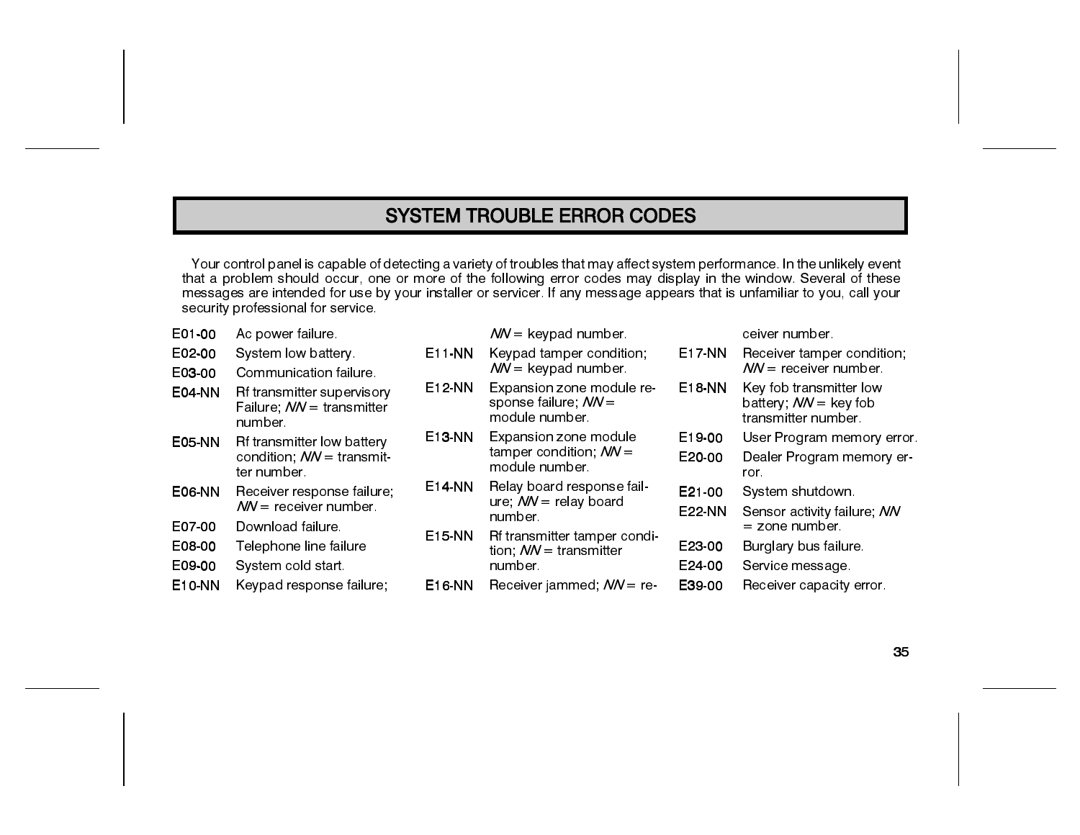### **SYSTEM TROUBLE ERROR CODES**

Your control panel is capable of detecting a variety of troubles that may affect system performance. In the unlikely event<br>that a problem should occur, one or more of the following error codes may display in the window. Se security professional for service.

| E01-00        | Ac power failure.                                                  |               | $NN =$ keypad number.                                                 |               | ceiver number.                                                                   |
|---------------|--------------------------------------------------------------------|---------------|-----------------------------------------------------------------------|---------------|----------------------------------------------------------------------------------|
| E02-00        | System low battery.                                                | E11-NN        | Keypad tamper condition;                                              | <b>E17-NN</b> | Receiver tamper condition.                                                       |
| E03-00        | Communication failure.                                             |               | $NN =$ keypad number.                                                 |               | $NN =$ receiver number.                                                          |
| <b>E04-NN</b> | Rf transmitter supervisory<br>Failure; NN = transmitter<br>number. | <b>E12-NN</b> | Expansion zone module re-<br>sponse failure; $NN =$<br>module number. | <b>E18 NN</b> | Key fob transmitter low<br>battery; $NN = \text{key}$ fob<br>transmitter number. |
| <b>E05-NN</b> | Rf transmitter low battery                                         | E13-NN        | Expansion zone module                                                 | E19-00        | User Program memory error                                                        |
|               | condition; NN = transmit-<br>ter number.                           |               | tamper condition; $NN =$<br>module number.                            | E20-00        | Dealer Program memory er-<br>ror.                                                |
| <b>E06-NN</b> | Receiver response failure;                                         | E14-NN        | Relay board response fail-                                            | E21-00        | System shutdown.                                                                 |
|               | $\mathcal{N}N =$ receiver number.                                  |               | ure; $NN =$ relay board<br>number.                                    | <b>E22-NN</b> | Sensor activity failure; NN                                                      |
| E07-00        | Download failure.                                                  | E15-NN        |                                                                       |               | $=$ zone number.                                                                 |
| E08-00        | Telephone line failure                                             |               | Rf transmitter tamper condi-<br>tion, $NN =$ transmitter              | E23-00        | Burglary bus failure.                                                            |
| E09-00        | System cold start.                                                 |               | number.                                                               | E24-00        | Service message                                                                  |
| <b>E10-NN</b> | Keypad response failure;                                           | E16-NN        | Receiver jammed; $NN = re$                                            | E39-00        | Receiver capacity error.                                                         |
|               |                                                                    |               |                                                                       |               |                                                                                  |